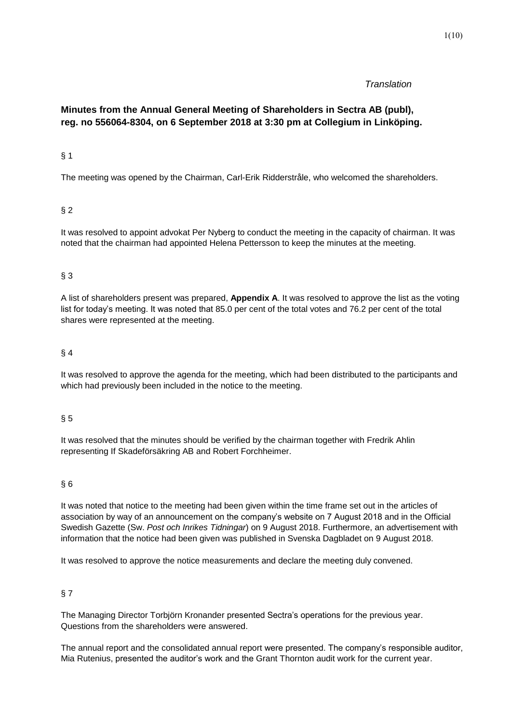#### *Translation*

# **Minutes from the Annual General Meeting of Shareholders in Sectra AB (publ), reg. no 556064-8304, on 6 September 2018 at 3:30 pm at Collegium in Linköping.**

#### § 1

The meeting was opened by the Chairman, Carl-Erik Ridderstråle, who welcomed the shareholders.

## § 2

It was resolved to appoint advokat Per Nyberg to conduct the meeting in the capacity of chairman. It was noted that the chairman had appointed Helena Pettersson to keep the minutes at the meeting.

#### § 3

A list of shareholders present was prepared, **Appendix A**. It was resolved to approve the list as the voting list for today's meeting. It was noted that 85.0 per cent of the total votes and 76.2 per cent of the total shares were represented at the meeting.

#### § 4

It was resolved to approve the agenda for the meeting, which had been distributed to the participants and which had previously been included in the notice to the meeting.

#### § 5

It was resolved that the minutes should be verified by the chairman together with Fredrik Ahlin representing If Skadeförsäkring AB and Robert Forchheimer.

#### § 6

It was noted that notice to the meeting had been given within the time frame set out in the articles of association by way of an announcement on the company's website on 7 August 2018 and in the Official Swedish Gazette (Sw. *Post och Inrikes Tidningar*) on 9 August 2018. Furthermore, an advertisement with information that the notice had been given was published in Svenska Dagbladet on 9 August 2018.

It was resolved to approve the notice measurements and declare the meeting duly convened.

## § 7

The Managing Director Torbjörn Kronander presented Sectra's operations for the previous year. Questions from the shareholders were answered.

The annual report and the consolidated annual report were presented. The company's responsible auditor, Mia Rutenius, presented the auditor's work and the Grant Thornton audit work for the current year.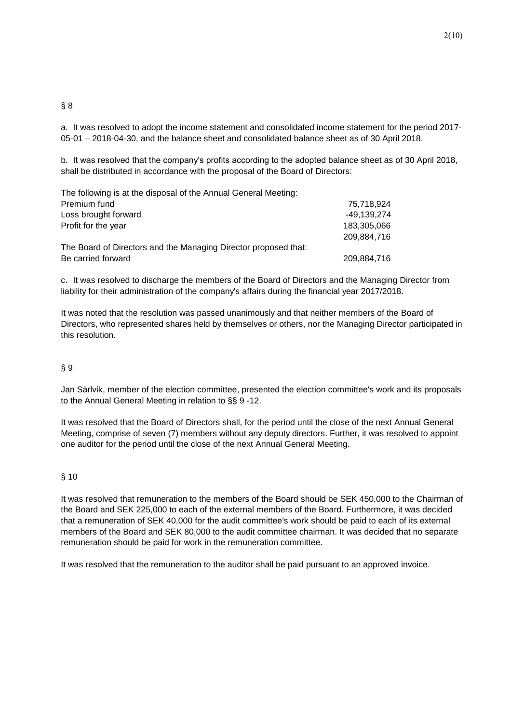#### § 8

a. It was resolved to adopt the income statement and consolidated income statement for the period 2017- 05-01 – 2018-04-30, and the balance sheet and consolidated balance sheet as of 30 April 2018.

b. It was resolved that the company's profits according to the adopted balance sheet as of 30 April 2018, shall be distributed in accordance with the proposal of the Board of Directors:

| The following is at the disposal of the Annual General Meeting: |             |
|-----------------------------------------------------------------|-------------|
| Premium fund                                                    | 75,718,924  |
| Loss brought forward                                            | -49.139.274 |
| Profit for the year                                             | 183,305,066 |
|                                                                 | 209.884.716 |
| The Board of Directors and the Managing Director proposed that: |             |
| Be carried forward                                              | 209,884,716 |

c. It was resolved to discharge the members of the Board of Directors and the Managing Director from liability for their administration of the company's affairs during the financial year 2017/2018.

It was noted that the resolution was passed unanimously and that neither members of the Board of Directors, who represented shares held by themselves or others, nor the Managing Director participated in this resolution.

#### § 9

Jan Särlvik, member of the election committee, presented the election committee's work and its proposals to the Annual General Meeting in relation to §§ 9 -12.

It was resolved that the Board of Directors shall, for the period until the close of the next Annual General Meeting, comprise of seven (7) members without any deputy directors. Further, it was resolved to appoint one auditor for the period until the close of the next Annual General Meeting.

#### § 10

It was resolved that remuneration to the members of the Board should be SEK 450,000 to the Chairman of the Board and SEK 225,000 to each of the external members of the Board. Furthermore, it was decided that a remuneration of SEK 40,000 for the audit committee's work should be paid to each of its external members of the Board and SEK 80,000 to the audit committee chairman. It was decided that no separate remuneration should be paid for work in the remuneration committee.

It was resolved that the remuneration to the auditor shall be paid pursuant to an approved invoice.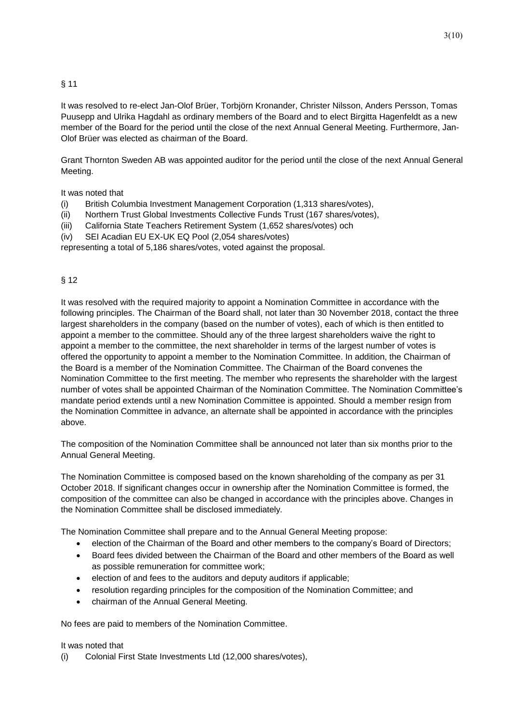## § 11

It was resolved to re-elect Jan-Olof Brüer, Torbjörn Kronander, Christer Nilsson, Anders Persson, Tomas Puusepp and Ulrika Hagdahl as ordinary members of the Board and to elect Birgitta Hagenfeldt as a new member of the Board for the period until the close of the next Annual General Meeting. Furthermore, Jan-Olof Brüer was elected as chairman of the Board.

Grant Thornton Sweden AB was appointed auditor for the period until the close of the next Annual General Meeting.

It was noted that

- (i) British Columbia Investment Management Corporation (1,313 shares/votes),
- (ii) Northern Trust Global Investments Collective Funds Trust (167 shares/votes),
- (iii) California State Teachers Retirement System (1,652 shares/votes) och
- (iv) SEI Acadian EU EX-UK EQ Pool (2,054 shares/votes)

representing a total of 5,186 shares/votes, voted against the proposal.

## § 12

It was resolved with the required majority to appoint a Nomination Committee in accordance with the following principles. The Chairman of the Board shall, not later than 30 November 2018, contact the three largest shareholders in the company (based on the number of votes), each of which is then entitled to appoint a member to the committee. Should any of the three largest shareholders waive the right to appoint a member to the committee, the next shareholder in terms of the largest number of votes is offered the opportunity to appoint a member to the Nomination Committee. In addition, the Chairman of the Board is a member of the Nomination Committee. The Chairman of the Board convenes the Nomination Committee to the first meeting. The member who represents the shareholder with the largest number of votes shall be appointed Chairman of the Nomination Committee. The Nomination Committee's mandate period extends until a new Nomination Committee is appointed. Should a member resign from the Nomination Committee in advance, an alternate shall be appointed in accordance with the principles above.

The composition of the Nomination Committee shall be announced not later than six months prior to the Annual General Meeting.

The Nomination Committee is composed based on the known shareholding of the company as per 31 October 2018. If significant changes occur in ownership after the Nomination Committee is formed, the composition of the committee can also be changed in accordance with the principles above. Changes in the Nomination Committee shall be disclosed immediately.

The Nomination Committee shall prepare and to the Annual General Meeting propose:

- election of the Chairman of the Board and other members to the company's Board of Directors;
- Board fees divided between the Chairman of the Board and other members of the Board as well as possible remuneration for committee work;
- election of and fees to the auditors and deputy auditors if applicable;
- resolution regarding principles for the composition of the Nomination Committee; and
- chairman of the Annual General Meeting.

No fees are paid to members of the Nomination Committee.

#### It was noted that

(i) Colonial First State Investments Ltd (12,000 shares/votes),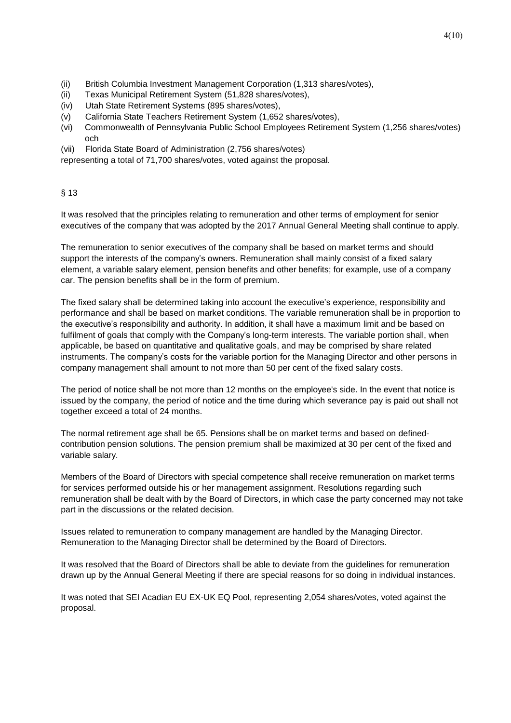- (ii) British Columbia Investment Management Corporation (1,313 shares/votes),
- (ii) Texas Municipal Retirement System (51,828 shares/votes),
- (iv) Utah State Retirement Systems (895 shares/votes),
- (v) California State Teachers Retirement System (1,652 shares/votes),
- (vi) Commonwealth of Pennsylvania Public School Employees Retirement System (1,256 shares/votes) och
- (vii) Florida State Board of Administration (2,756 shares/votes)

representing a total of 71,700 shares/votes, voted against the proposal.

## § 13

It was resolved that the principles relating to remuneration and other terms of employment for senior executives of the company that was adopted by the 2017 Annual General Meeting shall continue to apply.

The remuneration to senior executives of the company shall be based on market terms and should support the interests of the company's owners. Remuneration shall mainly consist of a fixed salary element, a variable salary element, pension benefits and other benefits; for example, use of a company car. The pension benefits shall be in the form of premium.

The fixed salary shall be determined taking into account the executive's experience, responsibility and performance and shall be based on market conditions. The variable remuneration shall be in proportion to the executive's responsibility and authority. In addition, it shall have a maximum limit and be based on fulfilment of goals that comply with the Company's long-term interests. The variable portion shall, when applicable, be based on quantitative and qualitative goals, and may be comprised by share related instruments. The company's costs for the variable portion for the Managing Director and other persons in company management shall amount to not more than 50 per cent of the fixed salary costs.

The period of notice shall be not more than 12 months on the employee's side. In the event that notice is issued by the company, the period of notice and the time during which severance pay is paid out shall not together exceed a total of 24 months.

The normal retirement age shall be 65. Pensions shall be on market terms and based on definedcontribution pension solutions. The pension premium shall be maximized at 30 per cent of the fixed and variable salary.

Members of the Board of Directors with special competence shall receive remuneration on market terms for services performed outside his or her management assignment. Resolutions regarding such remuneration shall be dealt with by the Board of Directors, in which case the party concerned may not take part in the discussions or the related decision.

Issues related to remuneration to company management are handled by the Managing Director. Remuneration to the Managing Director shall be determined by the Board of Directors.

It was resolved that the Board of Directors shall be able to deviate from the guidelines for remuneration drawn up by the Annual General Meeting if there are special reasons for so doing in individual instances.

It was noted that SEI Acadian EU EX-UK EQ Pool, representing 2,054 shares/votes, voted against the proposal.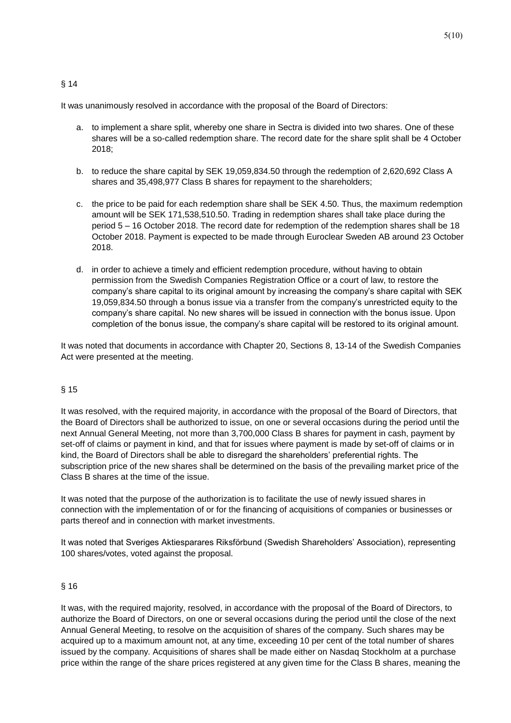## § 14

It was unanimously resolved in accordance with the proposal of the Board of Directors:

- a. to implement a share split, whereby one share in Sectra is divided into two shares. One of these shares will be a so-called redemption share. The record date for the share split shall be 4 October 2018;
- b. to reduce the share capital by SEK 19,059,834.50 through the redemption of 2,620,692 Class A shares and 35,498,977 Class B shares for repayment to the shareholders;
- c. the price to be paid for each redemption share shall be SEK 4.50. Thus, the maximum redemption amount will be SEK 171,538,510.50. Trading in redemption shares shall take place during the period 5 – 16 October 2018. The record date for redemption of the redemption shares shall be 18 October 2018. Payment is expected to be made through Euroclear Sweden AB around 23 October 2018.
- d. in order to achieve a timely and efficient redemption procedure, without having to obtain permission from the Swedish Companies Registration Office or a court of law, to restore the company's share capital to its original amount by increasing the company's share capital with SEK 19,059,834.50 through a bonus issue via a transfer from the company's unrestricted equity to the company's share capital. No new shares will be issued in connection with the bonus issue. Upon completion of the bonus issue, the company's share capital will be restored to its original amount.

It was noted that documents in accordance with Chapter 20, Sections 8, 13-14 of the Swedish Companies Act were presented at the meeting.

## § 15

It was resolved, with the required majority, in accordance with the proposal of the Board of Directors, that the Board of Directors shall be authorized to issue, on one or several occasions during the period until the next Annual General Meeting, not more than 3,700,000 Class B shares for payment in cash, payment by set-off of claims or payment in kind, and that for issues where payment is made by set-off of claims or in kind, the Board of Directors shall be able to disregard the shareholders' preferential rights. The subscription price of the new shares shall be determined on the basis of the prevailing market price of the Class B shares at the time of the issue.

It was noted that the purpose of the authorization is to facilitate the use of newly issued shares in connection with the implementation of or for the financing of acquisitions of companies or businesses or parts thereof and in connection with market investments.

It was noted that Sveriges Aktiesparares Riksförbund (Swedish Shareholders' Association), representing 100 shares/votes, voted against the proposal.

## § 16

It was, with the required majority, resolved, in accordance with the proposal of the Board of Directors, to authorize the Board of Directors, on one or several occasions during the period until the close of the next Annual General Meeting, to resolve on the acquisition of shares of the company. Such shares may be acquired up to a maximum amount not, at any time, exceeding 10 per cent of the total number of shares issued by the company. Acquisitions of shares shall be made either on Nasdaq Stockholm at a purchase price within the range of the share prices registered at any given time for the Class B shares, meaning the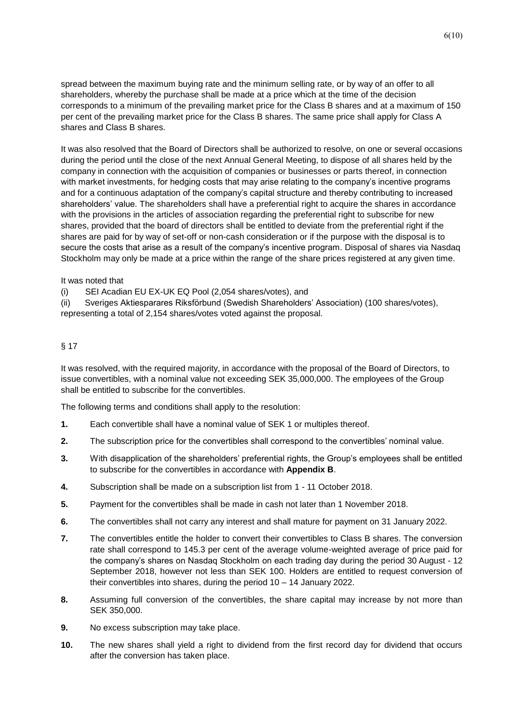spread between the maximum buying rate and the minimum selling rate, or by way of an offer to all shareholders, whereby the purchase shall be made at a price which at the time of the decision corresponds to a minimum of the prevailing market price for the Class B shares and at a maximum of 150 per cent of the prevailing market price for the Class B shares. The same price shall apply for Class A shares and Class B shares.

It was also resolved that the Board of Directors shall be authorized to resolve, on one or several occasions during the period until the close of the next Annual General Meeting, to dispose of all shares held by the company in connection with the acquisition of companies or businesses or parts thereof, in connection with market investments, for hedging costs that may arise relating to the company's incentive programs and for a continuous adaptation of the company's capital structure and thereby contributing to increased shareholders' value. The shareholders shall have a preferential right to acquire the shares in accordance with the provisions in the articles of association regarding the preferential right to subscribe for new shares, provided that the board of directors shall be entitled to deviate from the preferential right if the shares are paid for by way of set-off or non-cash consideration or if the purpose with the disposal is to secure the costs that arise as a result of the company's incentive program. Disposal of shares via Nasdaq Stockholm may only be made at a price within the range of the share prices registered at any given time.

#### It was noted that

(i) SEI Acadian EU EX-UK EQ Pool (2,054 shares/votes), and

(ii) Sveriges Aktiesparares Riksförbund (Swedish Shareholders' Association) (100 shares/votes), representing a total of 2,154 shares/votes voted against the proposal.

#### § 17

It was resolved, with the required majority, in accordance with the proposal of the Board of Directors, to issue convertibles, with a nominal value not exceeding SEK 35,000,000. The employees of the Group shall be entitled to subscribe for the convertibles.

The following terms and conditions shall apply to the resolution:

- **1.** Each convertible shall have a nominal value of SEK 1 or multiples thereof.
- **2.** The subscription price for the convertibles shall correspond to the convertibles' nominal value.
- **3.** With disapplication of the shareholders' preferential rights, the Group's employees shall be entitled to subscribe for the convertibles in accordance with **Appendix B**.
- **4.** Subscription shall be made on a subscription list from 1 11 October 2018.
- **5.** Payment for the convertibles shall be made in cash not later than 1 November 2018.
- **6.** The convertibles shall not carry any interest and shall mature for payment on 31 January 2022.
- **7.** The convertibles entitle the holder to convert their convertibles to Class B shares. The conversion rate shall correspond to 145.3 per cent of the average volume-weighted average of price paid for the company's shares on Nasdaq Stockholm on each trading day during the period 30 August - 12 September 2018, however not less than SEK 100. Holders are entitled to request conversion of their convertibles into shares, during the period 10 – 14 January 2022.
- **8.** Assuming full conversion of the convertibles, the share capital may increase by not more than SEK 350,000.
- **9.** No excess subscription may take place.
- **10.** The new shares shall yield a right to dividend from the first record day for dividend that occurs after the conversion has taken place.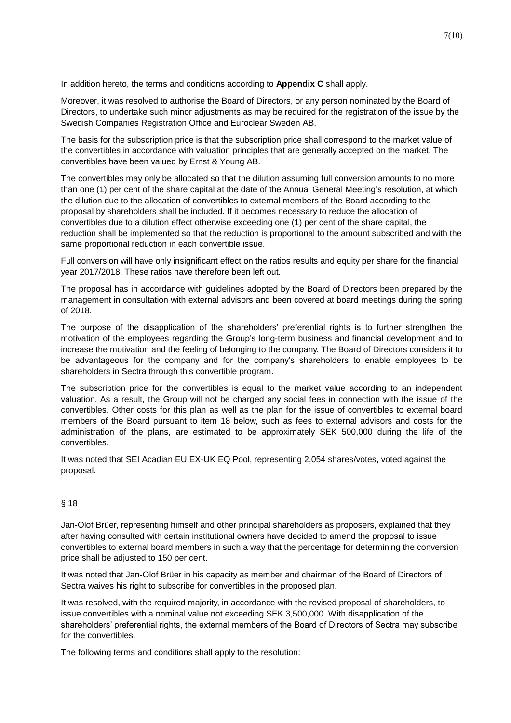In addition hereto, the terms and conditions according to **Appendix C** shall apply.

Moreover, it was resolved to authorise the Board of Directors, or any person nominated by the Board of Directors, to undertake such minor adjustments as may be required for the registration of the issue by the Swedish Companies Registration Office and Euroclear Sweden AB.

The basis for the subscription price is that the subscription price shall correspond to the market value of the convertibles in accordance with valuation principles that are generally accepted on the market. The convertibles have been valued by Ernst & Young AB.

The convertibles may only be allocated so that the dilution assuming full conversion amounts to no more than one (1) per cent of the share capital at the date of the Annual General Meeting's resolution, at which the dilution due to the allocation of convertibles to external members of the Board according to the proposal by shareholders shall be included. If it becomes necessary to reduce the allocation of convertibles due to a dilution effect otherwise exceeding one (1) per cent of the share capital, the reduction shall be implemented so that the reduction is proportional to the amount subscribed and with the same proportional reduction in each convertible issue.

Full conversion will have only insignificant effect on the ratios results and equity per share for the financial year 2017/2018. These ratios have therefore been left out.

The proposal has in accordance with guidelines adopted by the Board of Directors been prepared by the management in consultation with external advisors and been covered at board meetings during the spring of 2018.

The purpose of the disapplication of the shareholders' preferential rights is to further strengthen the motivation of the employees regarding the Group's long-term business and financial development and to increase the motivation and the feeling of belonging to the company. The Board of Directors considers it to be advantageous for the company and for the company's shareholders to enable employees to be shareholders in Sectra through this convertible program.

The subscription price for the convertibles is equal to the market value according to an independent valuation. As a result, the Group will not be charged any social fees in connection with the issue of the convertibles. Other costs for this plan as well as the plan for the issue of convertibles to external board members of the Board pursuant to item 18 below, such as fees to external advisors and costs for the administration of the plans, are estimated to be approximately SEK 500,000 during the life of the convertibles.

It was noted that SEI Acadian EU EX-UK EQ Pool, representing 2,054 shares/votes, voted against the proposal.

## § 18

Jan-Olof Brüer, representing himself and other principal shareholders as proposers, explained that they after having consulted with certain institutional owners have decided to amend the proposal to issue convertibles to external board members in such a way that the percentage for determining the conversion price shall be adjusted to 150 per cent.

It was noted that Jan-Olof Brüer in his capacity as member and chairman of the Board of Directors of Sectra waives his right to subscribe for convertibles in the proposed plan.

It was resolved, with the required majority, in accordance with the revised proposal of shareholders, to issue convertibles with a nominal value not exceeding SEK 3,500,000. With disapplication of the shareholders' preferential rights, the external members of the Board of Directors of Sectra may subscribe for the convertibles.

The following terms and conditions shall apply to the resolution: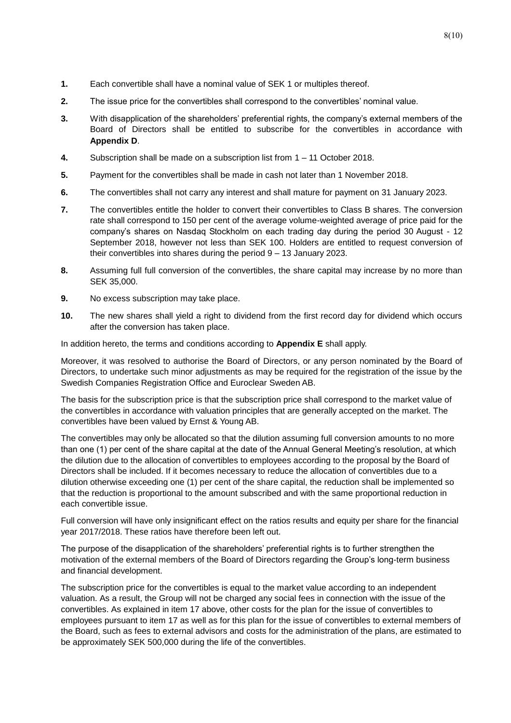- **1.** Each convertible shall have a nominal value of SEK 1 or multiples thereof.
- **2.** The issue price for the convertibles shall correspond to the convertibles' nominal value.
- **3.** With disapplication of the shareholders' preferential rights, the company's external members of the Board of Directors shall be entitled to subscribe for the convertibles in accordance with **Appendix D**.
- **4.** Subscription shall be made on a subscription list from 1 11 October 2018.
- **5.** Payment for the convertibles shall be made in cash not later than 1 November 2018.
- **6.** The convertibles shall not carry any interest and shall mature for payment on 31 January 2023.
- **7.** The convertibles entitle the holder to convert their convertibles to Class B shares. The conversion rate shall correspond to 150 per cent of the average volume-weighted average of price paid for the company's shares on Nasdaq Stockholm on each trading day during the period 30 August - 12 September 2018, however not less than SEK 100. Holders are entitled to request conversion of their convertibles into shares during the period 9 – 13 January 2023.
- **8.** Assuming full full conversion of the convertibles, the share capital may increase by no more than SEK 35,000.
- **9.** No excess subscription may take place.
- **10.** The new shares shall yield a right to dividend from the first record day for dividend which occurs after the conversion has taken place.

In addition hereto, the terms and conditions according to **Appendix E** shall apply.

Moreover, it was resolved to authorise the Board of Directors, or any person nominated by the Board of Directors, to undertake such minor adjustments as may be required for the registration of the issue by the Swedish Companies Registration Office and Euroclear Sweden AB.

The basis for the subscription price is that the subscription price shall correspond to the market value of the convertibles in accordance with valuation principles that are generally accepted on the market. The convertibles have been valued by Ernst & Young AB.

The convertibles may only be allocated so that the dilution assuming full conversion amounts to no more than one (1) per cent of the share capital at the date of the Annual General Meeting's resolution, at which the dilution due to the allocation of convertibles to employees according to the proposal by the Board of Directors shall be included. If it becomes necessary to reduce the allocation of convertibles due to a dilution otherwise exceeding one (1) per cent of the share capital, the reduction shall be implemented so that the reduction is proportional to the amount subscribed and with the same proportional reduction in each convertible issue.

Full conversion will have only insignificant effect on the ratios results and equity per share for the financial year 2017/2018. These ratios have therefore been left out.

The purpose of the disapplication of the shareholders' preferential rights is to further strengthen the motivation of the external members of the Board of Directors regarding the Group's long-term business and financial development.

The subscription price for the convertibles is equal to the market value according to an independent valuation. As a result, the Group will not be charged any social fees in connection with the issue of the convertibles. As explained in item 17 above, other costs for the plan for the issue of convertibles to employees pursuant to item 17 as well as for this plan for the issue of convertibles to external members of the Board, such as fees to external advisors and costs for the administration of the plans, are estimated to be approximately SEK 500,000 during the life of the convertibles.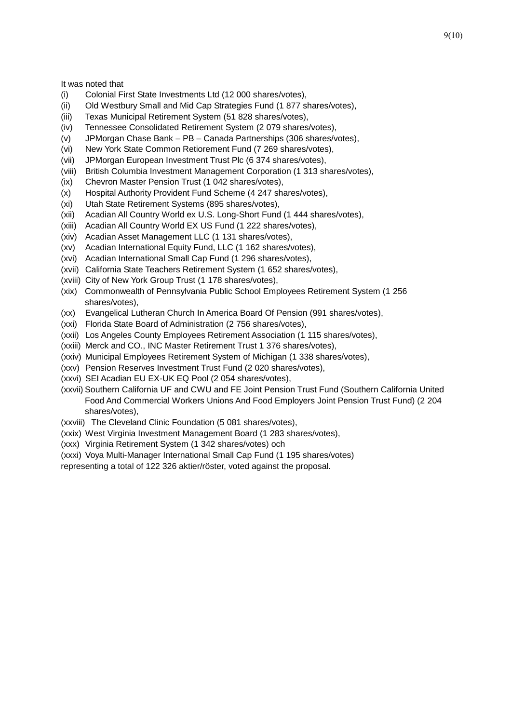It was noted that

- (i) Colonial First State Investments Ltd (12 000 shares/votes),
- (ii) Old Westbury Small and Mid Cap Strategies Fund (1 877 shares/votes),
- (iii) Texas Municipal Retirement System (51 828 shares/votes),
- (iv) Tennessee Consolidated Retirement System (2 079 shares/votes),
- (v) JPMorgan Chase Bank PB Canada Partnerships (306 shares/votes),
- (vi) New York State Common Retiorement Fund (7 269 shares/votes),
- (vii) JPMorgan European Investment Trust Plc (6 374 shares/votes),
- (viii) British Columbia Investment Management Corporation (1 313 shares/votes),
- (ix) Chevron Master Pension Trust (1 042 shares/votes),
- (x) Hospital Authority Provident Fund Scheme (4 247 shares/votes),
- (xi) Utah State Retirement Systems (895 shares/votes),
- (xii) Acadian All Country World ex U.S. Long-Short Fund (1 444 shares/votes),
- (xiii) Acadian All Country World EX US Fund (1 222 shares/votes),
- (xiv) Acadian Asset Management LLC (1 131 shares/votes),
- (xv) Acadian International Equity Fund, LLC (1 162 shares/votes),
- (xvi) Acadian International Small Cap Fund (1 296 shares/votes),
- (xvii) California State Teachers Retirement System (1 652 shares/votes),
- (xviii) City of New York Group Trust (1 178 shares/votes),
- (xix) Commonwealth of Pennsylvania Public School Employees Retirement System (1 256 shares/votes),
- (xx) Evangelical Lutheran Church In America Board Of Pension (991 shares/votes),
- (xxi) Florida State Board of Administration (2 756 shares/votes),
- (xxii) Los Angeles County Employees Retirement Association (1 115 shares/votes),
- (xxiii) Merck and CO., INC Master Retirement Trust 1 376 shares/votes),
- (xxiv) Municipal Employees Retirement System of Michigan (1 338 shares/votes),
- (xxv) Pension Reserves Investment Trust Fund (2 020 shares/votes),
- (xxvi) SEI Acadian EU EX-UK EQ Pool (2 054 shares/votes),
- (xxvii) Southern California UF and CWU and FE Joint Pension Trust Fund (Southern California United Food And Commercial Workers Unions And Food Employers Joint Pension Trust Fund) (2 204 shares/votes),
- (xxviii) The Cleveland Clinic Foundation (5 081 shares/votes),
- (xxix) West Virginia Investment Management Board (1 283 shares/votes),
- (xxx) Virginia Retirement System (1 342 shares/votes) och
- (xxxi) Voya Multi-Manager International Small Cap Fund (1 195 shares/votes)
- representing a total of 122 326 aktier/röster, voted against the proposal.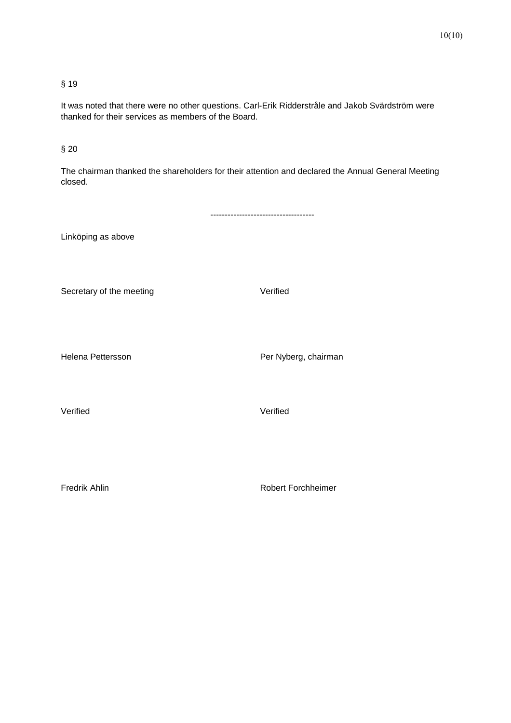# § 19

It was noted that there were no other questions. Carl-Erik Ridderstråle and Jakob Svärdström were thanked for their services as members of the Board.

# § 20

The chairman thanked the shareholders for their attention and declared the Annual General Meeting closed.

|                          | -------------------------------- |
|--------------------------|----------------------------------|
| Linköping as above       |                                  |
| Secretary of the meeting | Verified                         |
| Helena Pettersson        | Per Nyberg, chairman             |
| Verified                 | Verified                         |
|                          |                                  |
| Fredrik Ahlin            | Robert Forchheimer               |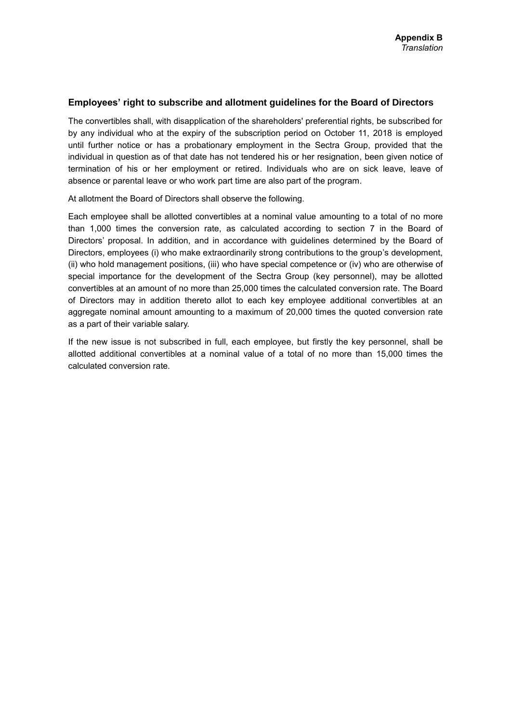#### **Employees' right to subscribe and allotment guidelines for the Board of Directors**

The convertibles shall, with disapplication of the shareholders' preferential rights, be subscribed for by any individual who at the expiry of the subscription period on October 11, 2018 is employed until further notice or has a probationary employment in the Sectra Group, provided that the individual in question as of that date has not tendered his or her resignation, been given notice of termination of his or her employment or retired. Individuals who are on sick leave, leave of absence or parental leave or who work part time are also part of the program.

At allotment the Board of Directors shall observe the following.

Each employee shall be allotted convertibles at a nominal value amounting to a total of no more than 1,000 times the conversion rate, as calculated according to section 7 in the Board of Directors' proposal. In addition, and in accordance with guidelines determined by the Board of Directors, employees (i) who make extraordinarily strong contributions to the group's development, (ii) who hold management positions, (iii) who have special competence or (iv) who are otherwise of special importance for the development of the Sectra Group (key personnel), may be allotted convertibles at an amount of no more than 25,000 times the calculated conversion rate. The Board of Directors may in addition thereto allot to each key employee additional convertibles at an aggregate nominal amount amounting to a maximum of 20,000 times the quoted conversion rate as a part of their variable salary.

If the new issue is not subscribed in full, each employee, but firstly the key personnel, shall be allotted additional convertibles at a nominal value of a total of no more than 15,000 times the calculated conversion rate.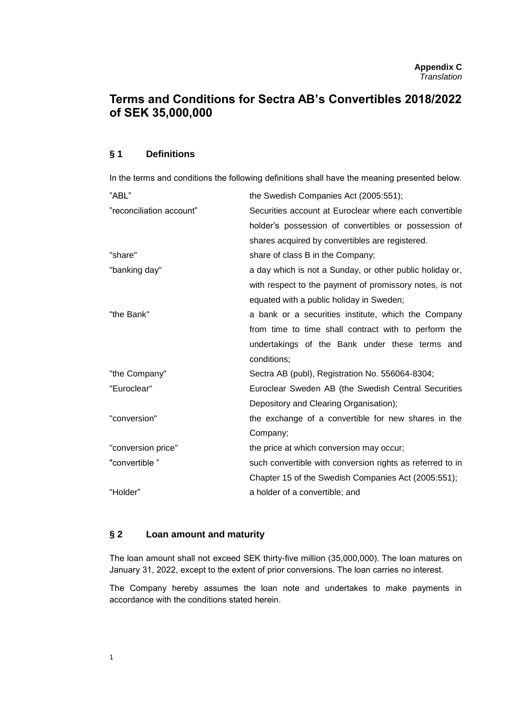# **Terms and Conditions for Sectra AB's Convertibles 2018/2022 of SEK 35,000,000**

#### **§ 1 Definitions**

In the terms and conditions the following definitions shall have the meaning presented below.

| "ABL"                    | the Swedish Companies Act (2005:551);                     |
|--------------------------|-----------------------------------------------------------|
| "reconciliation account" | Securities account at Euroclear where each convertible    |
|                          | holder's possession of convertibles or possession of      |
|                          | shares acquired by convertibles are registered.           |
| "share"                  | share of class B in the Company;                          |
| "banking day"            | a day which is not a Sunday, or other public holiday or,  |
|                          | with respect to the payment of promissory notes, is not   |
|                          | equated with a public holiday in Sweden;                  |
| "the Bank"               | a bank or a securities institute, which the Company       |
|                          | from time to time shall contract with to perform the      |
|                          | undertakings of the Bank under these terms and            |
|                          | conditions;                                               |
| "the Company"            | Sectra AB (publ), Registration No. 556064-8304;           |
| "Euroclear"              | Euroclear Sweden AB (the Swedish Central Securities       |
|                          | Depository and Clearing Organisation);                    |
| "conversion"             | the exchange of a convertible for new shares in the       |
|                          | Company;                                                  |
| "conversion price"       | the price at which conversion may occur;                  |
| "convertible"            | such convertible with conversion rights as referred to in |
|                          | Chapter 15 of the Swedish Companies Act (2005:551);       |
| "Holder"                 | a holder of a convertible; and                            |

## **§ 2 Loan amount and maturity**

The loan amount shall not exceed SEK thirty-five million (35,000,000). The loan matures on January 31, 2022, except to the extent of prior conversions. The loan carries no interest.

The Company hereby assumes the loan note and undertakes to make payments in accordance with the conditions stated herein.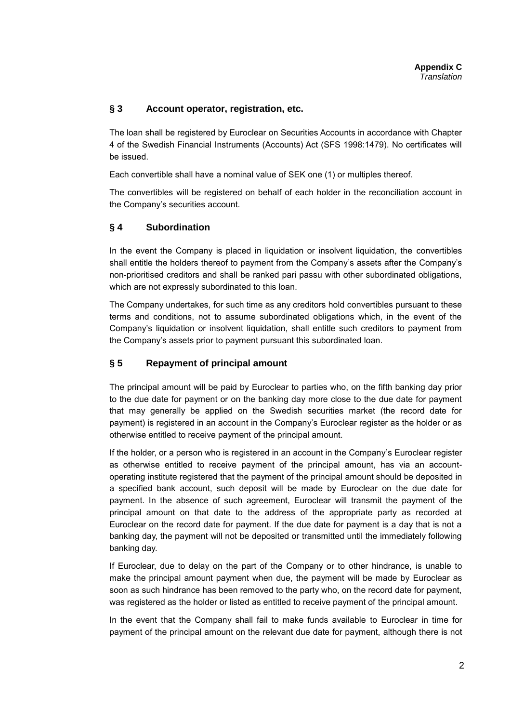# **§ 3 Account operator, registration, etc.**

The loan shall be registered by Euroclear on Securities Accounts in accordance with Chapter 4 of the Swedish Financial Instruments (Accounts) Act (SFS 1998:1479). No certificates will be issued.

Each convertible shall have a nominal value of SEK one (1) or multiples thereof.

The convertibles will be registered on behalf of each holder in the reconciliation account in the Company's securities account.

# **§ 4 Subordination**

In the event the Company is placed in liquidation or insolvent liquidation, the convertibles shall entitle the holders thereof to payment from the Company's assets after the Company's non-prioritised creditors and shall be ranked pari passu with other subordinated obligations, which are not expressly subordinated to this loan.

The Company undertakes, for such time as any creditors hold convertibles pursuant to these terms and conditions, not to assume subordinated obligations which, in the event of the Company's liquidation or insolvent liquidation, shall entitle such creditors to payment from the Company's assets prior to payment pursuant this subordinated loan.

# **§ 5 Repayment of principal amount**

The principal amount will be paid by Euroclear to parties who, on the fifth banking day prior to the due date for payment or on the banking day more close to the due date for payment that may generally be applied on the Swedish securities market (the record date for payment) is registered in an account in the Company's Euroclear register as the holder or as otherwise entitled to receive payment of the principal amount.

If the holder, or a person who is registered in an account in the Company's Euroclear register as otherwise entitled to receive payment of the principal amount, has via an accountoperating institute registered that the payment of the principal amount should be deposited in a specified bank account, such deposit will be made by Euroclear on the due date for payment. In the absence of such agreement, Euroclear will transmit the payment of the principal amount on that date to the address of the appropriate party as recorded at Euroclear on the record date for payment. If the due date for payment is a day that is not a banking day, the payment will not be deposited or transmitted until the immediately following banking day.

If Euroclear, due to delay on the part of the Company or to other hindrance, is unable to make the principal amount payment when due, the payment will be made by Euroclear as soon as such hindrance has been removed to the party who, on the record date for payment, was registered as the holder or listed as entitled to receive payment of the principal amount.

In the event that the Company shall fail to make funds available to Euroclear in time for payment of the principal amount on the relevant due date for payment, although there is not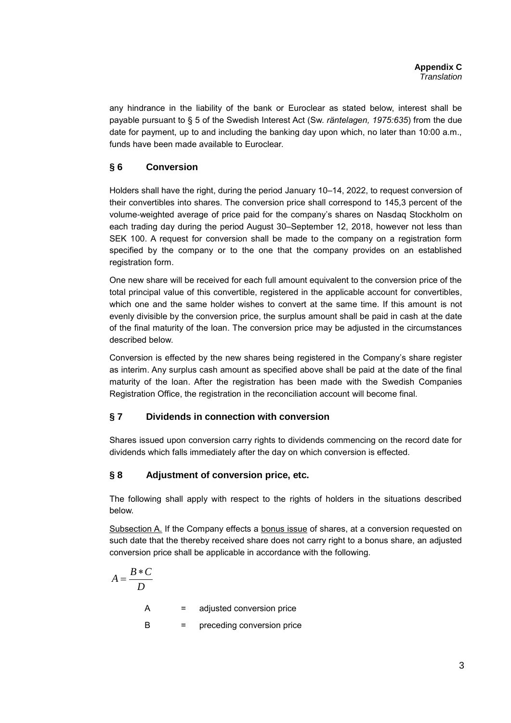any hindrance in the liability of the bank or Euroclear as stated below, interest shall be payable pursuant to § 5 of the Swedish Interest Act (Sw. *räntelagen, 1975:635*) from the due date for payment, up to and including the banking day upon which, no later than 10:00 a.m., funds have been made available to Euroclear.

# **§ 6 Conversion**

Holders shall have the right, during the period January 10–14, 2022, to request conversion of their convertibles into shares. The conversion price shall correspond to 145,3 percent of the volume-weighted average of price paid for the company's shares on Nasdaq Stockholm on each trading day during the period August 30–September 12, 2018, however not less than SEK 100. A request for conversion shall be made to the company on a registration form specified by the company or to the one that the company provides on an established registration form.

One new share will be received for each full amount equivalent to the conversion price of the total principal value of this convertible, registered in the applicable account for convertibles, which one and the same holder wishes to convert at the same time. If this amount is not evenly divisible by the conversion price, the surplus amount shall be paid in cash at the date of the final maturity of the loan. The conversion price may be adjusted in the circumstances described below.

Conversion is effected by the new shares being registered in the Company's share register as interim. Any surplus cash amount as specified above shall be paid at the date of the final maturity of the loan. After the registration has been made with the Swedish Companies Registration Office, the registration in the reconciliation account will become final.

# **§ 7 Dividends in connection with conversion**

Shares issued upon conversion carry rights to dividends commencing on the record date for dividends which falls immediately after the day on which conversion is effected.

# **§ 8 Adjustment of conversion price, etc.**

The following shall apply with respect to the rights of holders in the situations described below.

Subsection A. If the Company effects a bonus issue of shares, at a conversion requested on such date that the thereby received share does not carry right to a bonus share, an adjusted conversion price shall be applicable in accordance with the following.

$$
A = \frac{B*C}{D}
$$
  
A = adjusted conversion price  
B = preceding conversion price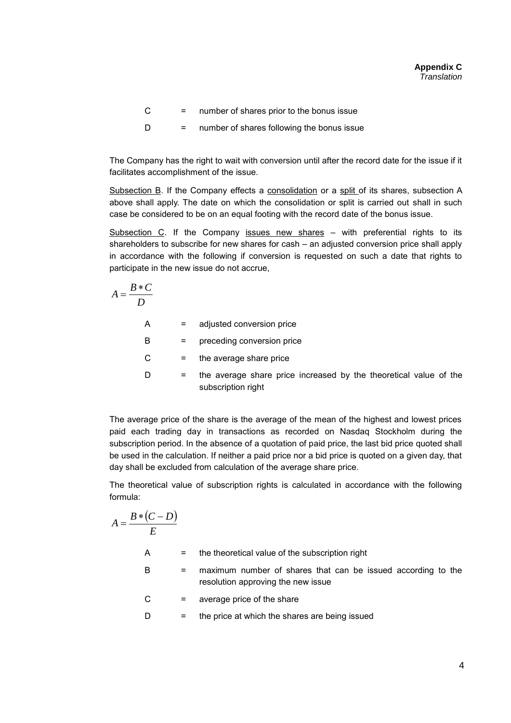$C =$  number of shares prior to the bonus issue

$$
D = number of shares following the bonus issue
$$

The Company has the right to wait with conversion until after the record date for the issue if it facilitates accomplishment of the issue.

Subsection B. If the Company effects a consolidation or a split of its shares, subsection A above shall apply. The date on which the consolidation or split is carried out shall in such case be considered to be on an equal footing with the record date of the bonus issue.

Subsection C. If the Company issues new shares – with preferential rights to its shareholders to subscribe for new shares for cash – an adjusted conversion price shall apply in accordance with the following if conversion is requested on such a date that rights to participate in the new issue do not accrue,

$$
A = \frac{B*C}{D}
$$

A = adjusted conversion price B = preceding conversion price  $C =$  the average share price  $D =$  the average share price increased by the theoretical value of the subscription right

The average price of the share is the average of the mean of the highest and lowest prices paid each trading day in transactions as recorded on Nasdaq Stockholm during the subscription period. In the absence of a quotation of paid price, the last bid price quoted shall be used in the calculation. If neither a paid price nor a bid price is quoted on a given day, that day shall be excluded from calculation of the average share price.

The theoretical value of subscription rights is calculated in accordance with the following formula:

$$
A = \frac{B * (C - D)}{E}
$$

A = the theoretical value of the subscription right

- B = maximum number of shares that can be issued according to the resolution approving the new issue
- $C =$  average price of the share

 $D =$  the price at which the shares are being issued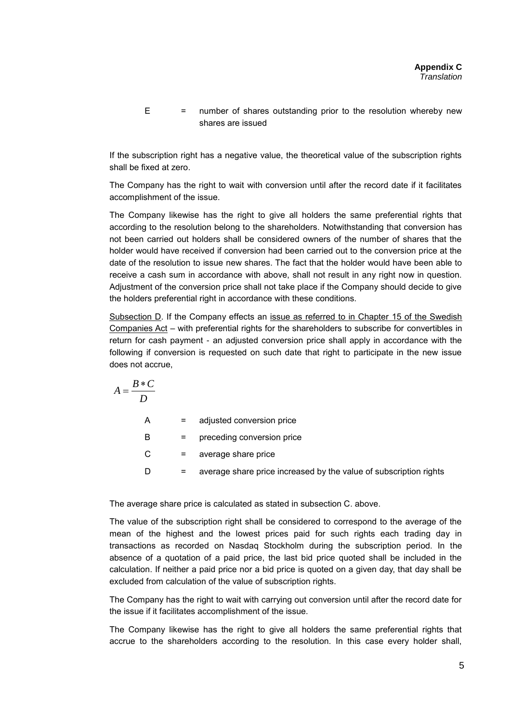$E$  = number of shares outstanding prior to the resolution whereby new shares are issued

If the subscription right has a negative value, the theoretical value of the subscription rights shall be fixed at zero.

The Company has the right to wait with conversion until after the record date if it facilitates accomplishment of the issue.

The Company likewise has the right to give all holders the same preferential rights that according to the resolution belong to the shareholders*.* Notwithstanding that conversion has not been carried out holders shall be considered owners of the number of shares that the holder would have received if conversion had been carried out to the conversion price at the date of the resolution to issue new shares. The fact that the holder would have been able to receive a cash sum in accordance with above, shall not result in any right now in question. Adjustment of the conversion price shall not take place if the Company should decide to give the holders preferential right in accordance with these conditions.

Subsection D. If the Company effects an issue as referred to in Chapter 15 of the Swedish Companies Act – with preferential rights for the shareholders to subscribe for convertibles in return for cash payment - an adjusted conversion price shall apply in accordance with the following if conversion is requested on such date that right to participate in the new issue does not accrue,

$$
A = \frac{B*C}{D}
$$

A = adjusted conversion price B = preceding conversion price  $C =$  average share price

D = average share price increased by the value of subscription rights

The average share price is calculated as stated in subsection C. above.

The value of the subscription right shall be considered to correspond to the average of the mean of the highest and the lowest prices paid for such rights each trading day in transactions as recorded on Nasdaq Stockholm during the subscription period. In the absence of a quotation of a paid price, the last bid price quoted shall be included in the calculation. If neither a paid price nor a bid price is quoted on a given day, that day shall be excluded from calculation of the value of subscription rights.

The Company has the right to wait with carrying out conversion until after the record date for the issue if it facilitates accomplishment of the issue.

The Company likewise has the right to give all holders the same preferential rights that accrue to the shareholders according to the resolution. In this case every holder shall,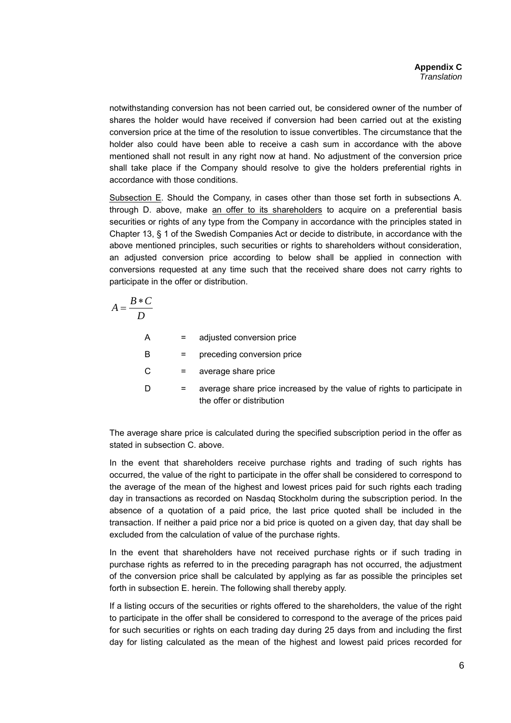notwithstanding conversion has not been carried out, be considered owner of the number of shares the holder would have received if conversion had been carried out at the existing conversion price at the time of the resolution to issue convertibles. The circumstance that the holder also could have been able to receive a cash sum in accordance with the above mentioned shall not result in any right now at hand*.* No adjustment of the conversion price shall take place if the Company should resolve to give the holders preferential rights in accordance with those conditions.

Subsection E. Should the Company, in cases other than those set forth in subsections A. through D. above, make an offer to its shareholders to acquire on a preferential basis securities or rights of any type from the Company in accordance with the principles stated in Chapter 13, § 1 of the Swedish Companies Act or decide to distribute, in accordance with the above mentioned principles, such securities or rights to shareholders without consideration, an adjusted conversion price according to below shall be applied in connection with conversions requested at any time such that the received share does not carry rights to participate in the offer or distribution.

$$
A = \frac{B*C}{D}
$$

| A | $=$ | adjusted conversion price                                                                           |
|---|-----|-----------------------------------------------------------------------------------------------------|
| В | Ξ.  | preceding conversion price                                                                          |
| С | Ξ.  | average share price                                                                                 |
| D | Ξ.  | average share price increased by the value of rights to participate in<br>the offer or distribution |

The average share price is calculated during the specified subscription period in the offer as stated in subsection C. above.

In the event that shareholders receive purchase rights and trading of such rights has occurred, the value of the right to participate in the offer shall be considered to correspond to the average of the mean of the highest and lowest prices paid for such rights each trading day in transactions as recorded on Nasdaq Stockholm during the subscription period. In the absence of a quotation of a paid price, the last price quoted shall be included in the transaction. If neither a paid price nor a bid price is quoted on a given day, that day shall be excluded from the calculation of value of the purchase rights.

In the event that shareholders have not received purchase rights or if such trading in purchase rights as referred to in the preceding paragraph has not occurred, the adjustment of the conversion price shall be calculated by applying as far as possible the principles set forth in subsection E. herein. The following shall thereby apply.

If a listing occurs of the securities or rights offered to the shareholders, the value of the right to participate in the offer shall be considered to correspond to the average of the prices paid for such securities or rights on each trading day during 25 days from and including the first day for listing calculated as the mean of the highest and lowest paid prices recorded for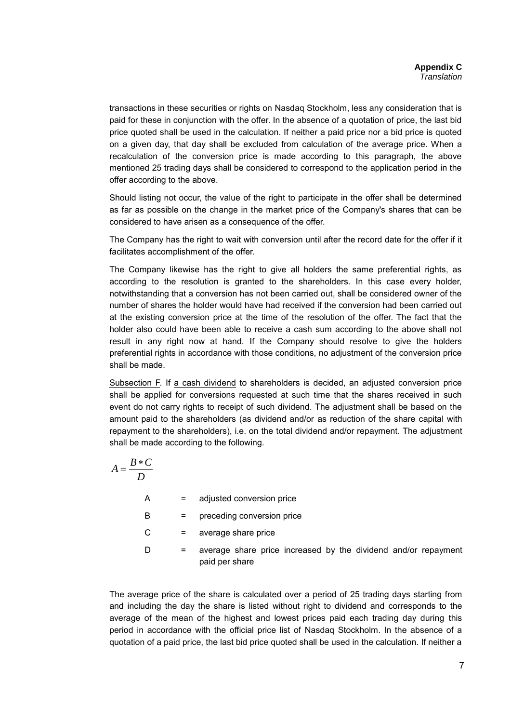transactions in these securities or rights on Nasdaq Stockholm, less any consideration that is paid for these in conjunction with the offer. In the absence of a quotation of price, the last bid price quoted shall be used in the calculation. If neither a paid price nor a bid price is quoted on a given day, that day shall be excluded from calculation of the average price. When a recalculation of the conversion price is made according to this paragraph, the above mentioned 25 trading days shall be considered to correspond to the application period in the offer according to the above.

Should listing not occur, the value of the right to participate in the offer shall be determined as far as possible on the change in the market price of the Company's shares that can be considered to have arisen as a consequence of the offer.

The Company has the right to wait with conversion until after the record date for the offer if it facilitates accomplishment of the offer.

The Company likewise has the right to give all holders the same preferential rights, as according to the resolution is granted to the shareholders. In this case every holder, notwithstanding that a conversion has not been carried out, shall be considered owner of the number of shares the holder would have had received if the conversion had been carried out at the existing conversion price at the time of the resolution of the offer. The fact that the holder also could have been able to receive a cash sum according to the above shall not result in any right now at hand*.* If the Company should resolve to give the holders preferential rights in accordance with those conditions, no adjustment of the conversion price shall be made.

Subsection F. If a cash dividend to shareholders is decided, an adjusted conversion price shall be applied for conversions requested at such time that the shares received in such event do not carry rights to receipt of such dividend. The adjustment shall be based on the amount paid to the shareholders (as dividend and/or as reduction of the share capital with repayment to the shareholders), i.e. on the total dividend and/or repayment. The adjustment shall be made according to the following.

$$
A = \frac{B*C}{D}
$$

| A | $=$ | adjusted conversion price                                                        |
|---|-----|----------------------------------------------------------------------------------|
| в | =   | preceding conversion price                                                       |
| C | $=$ | average share price                                                              |
| D |     | average share price increased by the dividend and/or repayment<br>paid per share |

The average price of the share is calculated over a period of 25 trading days starting from and including the day the share is listed without right to dividend and corresponds to the average of the mean of the highest and lowest prices paid each trading day during this period in accordance with the official price list of Nasdaq Stockholm. In the absence of a quotation of a paid price, the last bid price quoted shall be used in the calculation. If neither a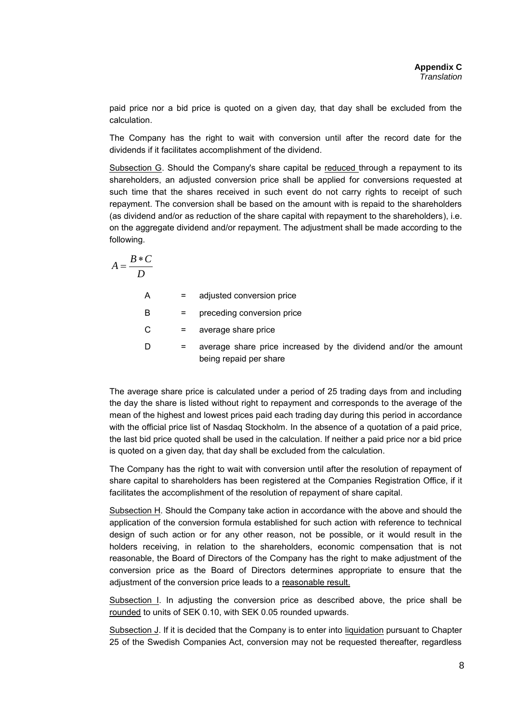paid price nor a bid price is quoted on a given day, that day shall be excluded from the calculation.

The Company has the right to wait with conversion until after the record date for the dividends if it facilitates accomplishment of the dividend.

Subsection G. Should the Company's share capital be reduced through a repayment to its shareholders, an adjusted conversion price shall be applied for conversions requested at such time that the shares received in such event do not carry rights to receipt of such repayment. The conversion shall be based on the amount with is repaid to the shareholders (as dividend and/or as reduction of the share capital with repayment to the shareholders), i.e. on the aggregate dividend and/or repayment. The adjustment shall be made according to the following.

$$
A = \frac{B*C}{D}
$$

A = adjusted conversion price

B = preceding conversion price

 $C =$  average share price

 $D =$  average share price increased by the dividend and/or the amount being repaid per share

The average share price is calculated under a period of 25 trading days from and including the day the share is listed without right to repayment and corresponds to the average of the mean of the highest and lowest prices paid each trading day during this period in accordance with the official price list of Nasdaq Stockholm. In the absence of a quotation of a paid price, the last bid price quoted shall be used in the calculation. If neither a paid price nor a bid price is quoted on a given day, that day shall be excluded from the calculation.

The Company has the right to wait with conversion until after the resolution of repayment of share capital to shareholders has been registered at the Companies Registration Office, if it facilitates the accomplishment of the resolution of repayment of share capital.

Subsection H. Should the Company take action in accordance with the above and should the application of the conversion formula established for such action with reference to technical design of such action or for any other reason, not be possible, or it would result in the holders receiving, in relation to the shareholders, economic compensation that is not reasonable, the Board of Directors of the Company has the right to make adjustment of the conversion price as the Board of Directors determines appropriate to ensure that the adjustment of the conversion price leads to a reasonable result.

Subsection I. In adjusting the conversion price as described above, the price shall be rounded to units of SEK 0.10, with SEK 0.05 rounded upwards.

Subsection J. If it is decided that the Company is to enter into liquidation pursuant to Chapter 25 of the Swedish Companies Act, conversion may not be requested thereafter, regardless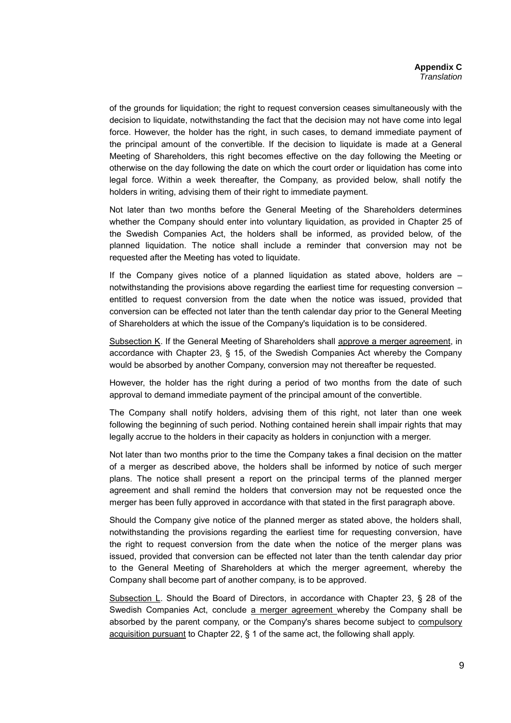of the grounds for liquidation; the right to request conversion ceases simultaneously with the decision to liquidate, notwithstanding the fact that the decision may not have come into legal force. However, the holder has the right, in such cases, to demand immediate payment of the principal amount of the convertible. If the decision to liquidate is made at a General Meeting of Shareholders, this right becomes effective on the day following the Meeting or otherwise on the day following the date on which the court order or liquidation has come into legal force. Within a week thereafter, the Company, as provided below, shall notify the holders in writing, advising them of their right to immediate payment.

Not later than two months before the General Meeting of the Shareholders determines whether the Company should enter into voluntary liquidation, as provided in Chapter 25 of the Swedish Companies Act, the holders shall be informed, as provided below, of the planned liquidation. The notice shall include a reminder that conversion may not be requested after the Meeting has voted to liquidate.

If the Company gives notice of a planned liquidation as stated above, holders are – notwithstanding the provisions above regarding the earliest time for requesting conversion – entitled to request conversion from the date when the notice was issued, provided that conversion can be effected not later than the tenth calendar day prior to the General Meeting of Shareholders at which the issue of the Company's liquidation is to be considered.

Subsection K. If the General Meeting of Shareholders shall approve a merger agreement, in accordance with Chapter 23, § 15, of the Swedish Companies Act whereby the Company would be absorbed by another Company, conversion may not thereafter be requested.

However, the holder has the right during a period of two months from the date of such approval to demand immediate payment of the principal amount of the convertible.

The Company shall notify holders, advising them of this right, not later than one week following the beginning of such period. Nothing contained herein shall impair rights that may legally accrue to the holders in their capacity as holders in conjunction with a merger.

Not later than two months prior to the time the Company takes a final decision on the matter of a merger as described above, the holders shall be informed by notice of such merger plans. The notice shall present a report on the principal terms of the planned merger agreement and shall remind the holders that conversion may not be requested once the merger has been fully approved in accordance with that stated in the first paragraph above.

Should the Company give notice of the planned merger as stated above, the holders shall, notwithstanding the provisions regarding the earliest time for requesting conversion, have the right to request conversion from the date when the notice of the merger plans was issued, provided that conversion can be effected not later than the tenth calendar day prior to the General Meeting of Shareholders at which the merger agreement, whereby the Company shall become part of another company, is to be approved.

Subsection L. Should the Board of Directors, in accordance with Chapter 23, § 28 of the Swedish Companies Act, conclude a merger agreement whereby the Company shall be absorbed by the parent company, or the Company's shares become subject to compulsory acquisition pursuant to Chapter 22, § 1 of the same act, the following shall apply.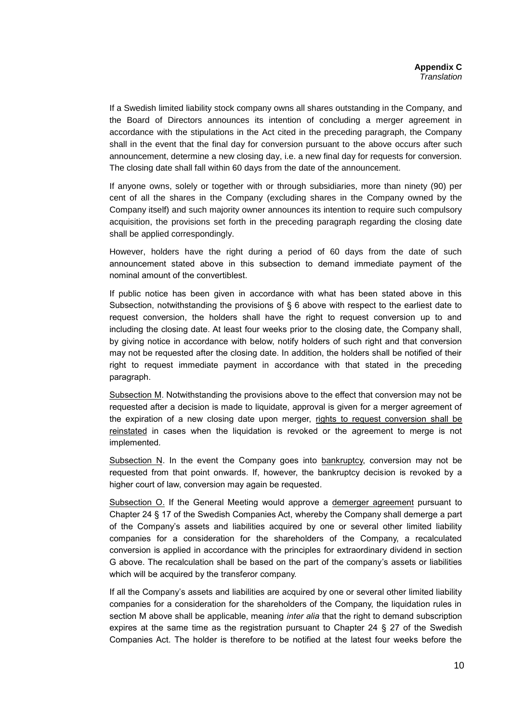If a Swedish limited liability stock company owns all shares outstanding in the Company, and the Board of Directors announces its intention of concluding a merger agreement in accordance with the stipulations in the Act cited in the preceding paragraph, the Company shall in the event that the final day for conversion pursuant to the above occurs after such announcement, determine a new closing day, i.e. a new final day for requests for conversion. The closing date shall fall within 60 days from the date of the announcement.

If anyone owns, solely or together with or through subsidiaries, more than ninety (90) per cent of all the shares in the Company (excluding shares in the Company owned by the Company itself) and such majority owner announces its intention to require such compulsory acquisition, the provisions set forth in the preceding paragraph regarding the closing date shall be applied correspondingly.

However, holders have the right during a period of 60 days from the date of such announcement stated above in this subsection to demand immediate payment of the nominal amount of the convertiblest.

If public notice has been given in accordance with what has been stated above in this Subsection, notwithstanding the provisions of § 6 above with respect to the earliest date to request conversion, the holders shall have the right to request conversion up to and including the closing date. At least four weeks prior to the closing date, the Company shall, by giving notice in accordance with below, notify holders of such right and that conversion may not be requested after the closing date. In addition, the holders shall be notified of their right to request immediate payment in accordance with that stated in the preceding paragraph.

Subsection M. Notwithstanding the provisions above to the effect that conversion may not be requested after a decision is made to liquidate, approval is given for a merger agreement of the expiration of a new closing date upon merger, rights to request conversion shall be reinstated in cases when the liquidation is revoked or the agreement to merge is not implemented*.*

Subsection N. In the event the Company goes into bankruptcy, conversion may not be requested from that point onwards. If, however, the bankruptcy decision is revoked by a higher court of law, conversion may again be requested*.*

Subsection O. If the General Meeting would approve a demerger agreement pursuant to Chapter 24 § 17 of the Swedish Companies Act, whereby the Company shall demerge a part of the Company's assets and liabilities acquired by one or several other limited liability companies for a consideration for the shareholders of the Company, a recalculated conversion is applied in accordance with the principles for extraordinary dividend in section G above. The recalculation shall be based on the part of the company's assets or liabilities which will be acquired by the transferor company.

If all the Company's assets and liabilities are acquired by one or several other limited liability companies for a consideration for the shareholders of the Company, the liquidation rules in section M above shall be applicable, meaning *inter alia* that the right to demand subscription expires at the same time as the registration pursuant to Chapter 24 § 27 of the Swedish Companies Act. The holder is therefore to be notified at the latest four weeks before the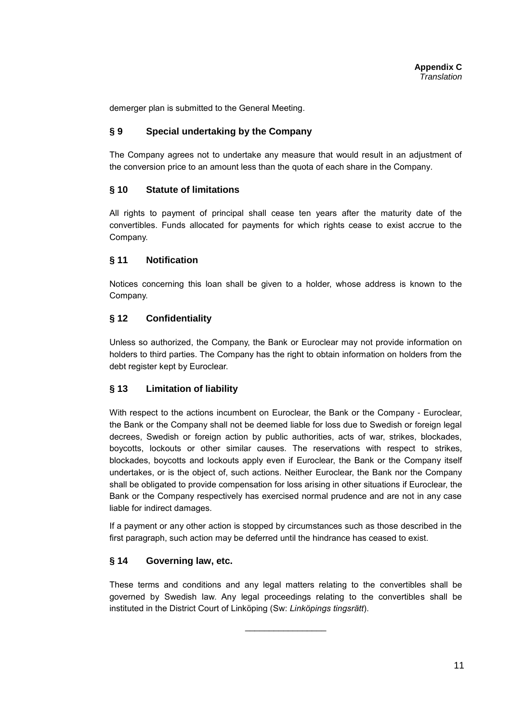demerger plan is submitted to the General Meeting.

# **§ 9 Special undertaking by the Company**

The Company agrees not to undertake any measure that would result in an adjustment of the conversion price to an amount less than the quota of each share in the Company*.*

# **§ 10 Statute of limitations**

All rights to payment of principal shall cease ten years after the maturity date of the convertibles. Funds allocated for payments for which rights cease to exist accrue to the Company.

# **§ 11 Notification**

Notices concerning this loan shall be given to a holder, whose address is known to the Company.

# **§ 12 Confidentiality**

Unless so authorized, the Company, the Bank or Euroclear may not provide information on holders to third parties. The Company has the right to obtain information on holders from the debt register kept by Euroclear.

## **§ 13 Limitation of liability**

With respect to the actions incumbent on Euroclear, the Bank or the Company - Euroclear, the Bank or the Company shall not be deemed liable for loss due to Swedish or foreign legal decrees, Swedish or foreign action by public authorities, acts of war, strikes, blockades, boycotts, lockouts or other similar causes. The reservations with respect to strikes, blockades, boycotts and lockouts apply even if Euroclear, the Bank or the Company itself undertakes, or is the object of, such actions. Neither Euroclear, the Bank nor the Company shall be obligated to provide compensation for loss arising in other situations if Euroclear, the Bank or the Company respectively has exercised normal prudence and are not in any case liable for indirect damages.

If a payment or any other action is stopped by circumstances such as those described in the first paragraph, such action may be deferred until the hindrance has ceased to exist.

# **§ 14 Governing law, etc.**

These terms and conditions and any legal matters relating to the convertibles shall be governed by Swedish law. Any legal proceedings relating to the convertibles shall be instituted in the District Court of Linköping (Sw: *Linköpings tingsrätt*).

 $\overline{\phantom{a}}$  , where  $\overline{\phantom{a}}$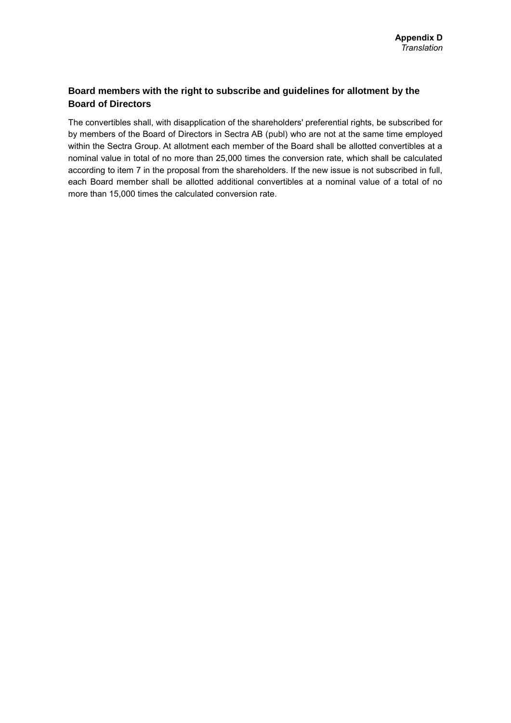# **Board members with the right to subscribe and guidelines for allotment by the Board of Directors**

The convertibles shall, with disapplication of the shareholders' preferential rights, be subscribed for by members of the Board of Directors in Sectra AB (publ) who are not at the same time employed within the Sectra Group. At allotment each member of the Board shall be allotted convertibles at a nominal value in total of no more than 25,000 times the conversion rate, which shall be calculated according to item 7 in the proposal from the shareholders. If the new issue is not subscribed in full, each Board member shall be allotted additional convertibles at a nominal value of a total of no more than 15,000 times the calculated conversion rate.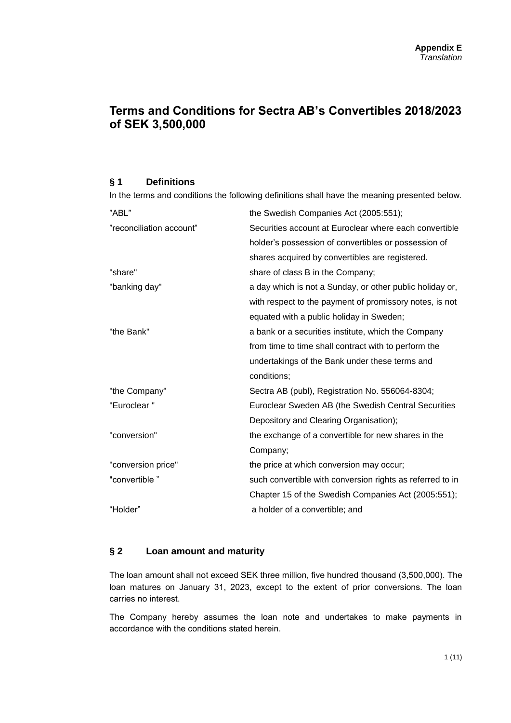# **Terms and Conditions for Sectra AB's Convertibles 2018/2023 of SEK 3,500,000**

## **§ 1 Definitions**

In the terms and conditions the following definitions shall have the meaning presented below.

| "ABL"                    | the Swedish Companies Act (2005:551);                     |
|--------------------------|-----------------------------------------------------------|
| "reconciliation account" | Securities account at Euroclear where each convertible    |
|                          | holder's possession of convertibles or possession of      |
|                          | shares acquired by convertibles are registered.           |
| "share"                  | share of class B in the Company;                          |
| "banking day"            | a day which is not a Sunday, or other public holiday or,  |
|                          | with respect to the payment of promissory notes, is not   |
|                          | equated with a public holiday in Sweden;                  |
| "the Bank"               | a bank or a securities institute, which the Company       |
|                          | from time to time shall contract with to perform the      |
|                          | undertakings of the Bank under these terms and            |
|                          | conditions;                                               |
| "the Company"            | Sectra AB (publ), Registration No. 556064-8304;           |
| "Euroclear"              | Euroclear Sweden AB (the Swedish Central Securities       |
|                          | Depository and Clearing Organisation);                    |
| "conversion"             | the exchange of a convertible for new shares in the       |
|                          | Company;                                                  |
| "conversion price"       | the price at which conversion may occur;                  |
| "convertible"            | such convertible with conversion rights as referred to in |
|                          | Chapter 15 of the Swedish Companies Act (2005:551);       |
| "Holder"                 | a holder of a convertible; and                            |
|                          |                                                           |

## **§ 2 Loan amount and maturity**

The loan amount shall not exceed SEK three million, five hundred thousand (3,500,000). The loan matures on January 31, 2023, except to the extent of prior conversions. The loan carries no interest.

The Company hereby assumes the loan note and undertakes to make payments in accordance with the conditions stated herein.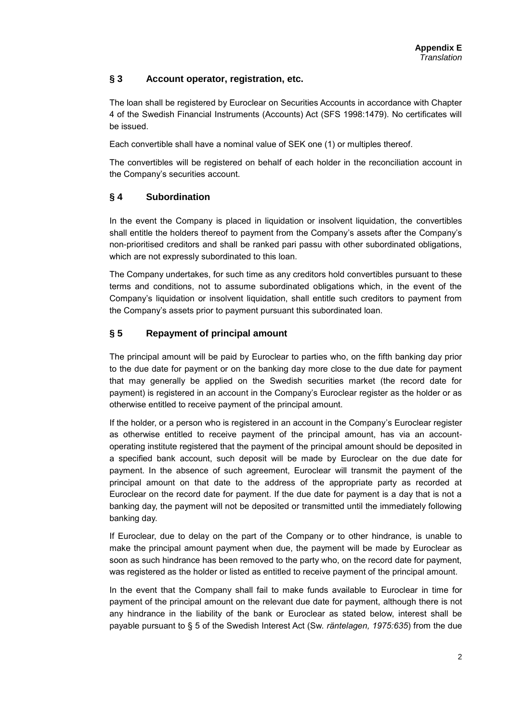# **§ 3 Account operator, registration, etc.**

The loan shall be registered by Euroclear on Securities Accounts in accordance with Chapter 4 of the Swedish Financial Instruments (Accounts) Act (SFS 1998:1479). No certificates will be issued.

Each convertible shall have a nominal value of SEK one (1) or multiples thereof.

The convertibles will be registered on behalf of each holder in the reconciliation account in the Company's securities account.

# **§ 4 Subordination**

In the event the Company is placed in liquidation or insolvent liquidation, the convertibles shall entitle the holders thereof to payment from the Company's assets after the Company's non-prioritised creditors and shall be ranked pari passu with other subordinated obligations, which are not expressly subordinated to this loan.

The Company undertakes, for such time as any creditors hold convertibles pursuant to these terms and conditions, not to assume subordinated obligations which, in the event of the Company's liquidation or insolvent liquidation, shall entitle such creditors to payment from the Company's assets prior to payment pursuant this subordinated loan.

# **§ 5 Repayment of principal amount**

The principal amount will be paid by Euroclear to parties who, on the fifth banking day prior to the due date for payment or on the banking day more close to the due date for payment that may generally be applied on the Swedish securities market (the record date for payment) is registered in an account in the Company's Euroclear register as the holder or as otherwise entitled to receive payment of the principal amount.

If the holder, or a person who is registered in an account in the Company's Euroclear register as otherwise entitled to receive payment of the principal amount, has via an accountoperating institute registered that the payment of the principal amount should be deposited in a specified bank account, such deposit will be made by Euroclear on the due date for payment. In the absence of such agreement, Euroclear will transmit the payment of the principal amount on that date to the address of the appropriate party as recorded at Euroclear on the record date for payment. If the due date for payment is a day that is not a banking day, the payment will not be deposited or transmitted until the immediately following banking day.

If Euroclear, due to delay on the part of the Company or to other hindrance, is unable to make the principal amount payment when due, the payment will be made by Euroclear as soon as such hindrance has been removed to the party who, on the record date for payment, was registered as the holder or listed as entitled to receive payment of the principal amount.

In the event that the Company shall fail to make funds available to Euroclear in time for payment of the principal amount on the relevant due date for payment, although there is not any hindrance in the liability of the bank or Euroclear as stated below, interest shall be payable pursuant to § 5 of the Swedish Interest Act (Sw. *räntelagen, 1975:635*) from the due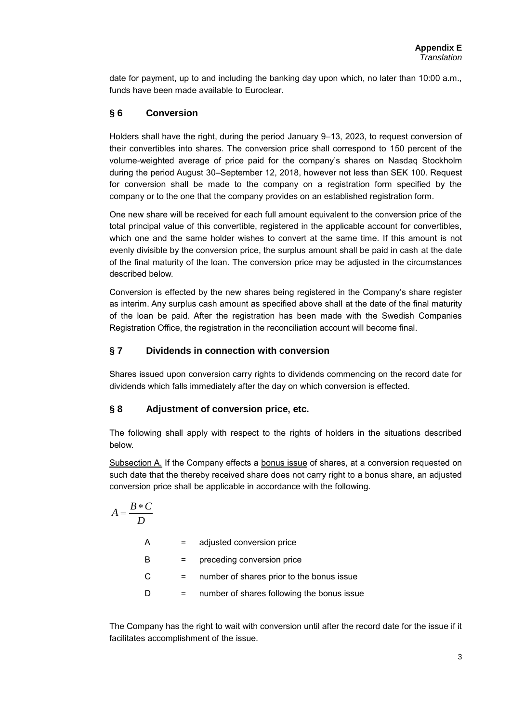date for payment, up to and including the banking day upon which, no later than 10:00 a.m., funds have been made available to Euroclear.

# **§ 6 Conversion**

Holders shall have the right, during the period January 9–13, 2023, to request conversion of their convertibles into shares. The conversion price shall correspond to 150 percent of the volume-weighted average of price paid for the company's shares on Nasdaq Stockholm during the period August 30–September 12, 2018, however not less than SEK 100. Request for conversion shall be made to the company on a registration form specified by the company or to the one that the company provides on an established registration form.

One new share will be received for each full amount equivalent to the conversion price of the total principal value of this convertible, registered in the applicable account for convertibles, which one and the same holder wishes to convert at the same time. If this amount is not evenly divisible by the conversion price, the surplus amount shall be paid in cash at the date of the final maturity of the loan. The conversion price may be adjusted in the circumstances described below.

Conversion is effected by the new shares being registered in the Company's share register as interim. Any surplus cash amount as specified above shall at the date of the final maturity of the loan be paid. After the registration has been made with the Swedish Companies Registration Office, the registration in the reconciliation account will become final.

# **§ 7 Dividends in connection with conversion**

Shares issued upon conversion carry rights to dividends commencing on the record date for dividends which falls immediately after the day on which conversion is effected.

## **§ 8 Adjustment of conversion price, etc.**

The following shall apply with respect to the rights of holders in the situations described below.

Subsection A. If the Company effects a bonus issue of shares, at a conversion requested on such date that the thereby received share does not carry right to a bonus share, an adjusted conversion price shall be applicable in accordance with the following.

$$
A = \frac{B*C}{D}
$$

| А  |     | adjusted conversion price                  |
|----|-----|--------------------------------------------|
| В  | $=$ | preceding conversion price                 |
| C. |     | number of shares prior to the bonus issue  |
| D  |     | number of shares following the bonus issue |

The Company has the right to wait with conversion until after the record date for the issue if it facilitates accomplishment of the issue.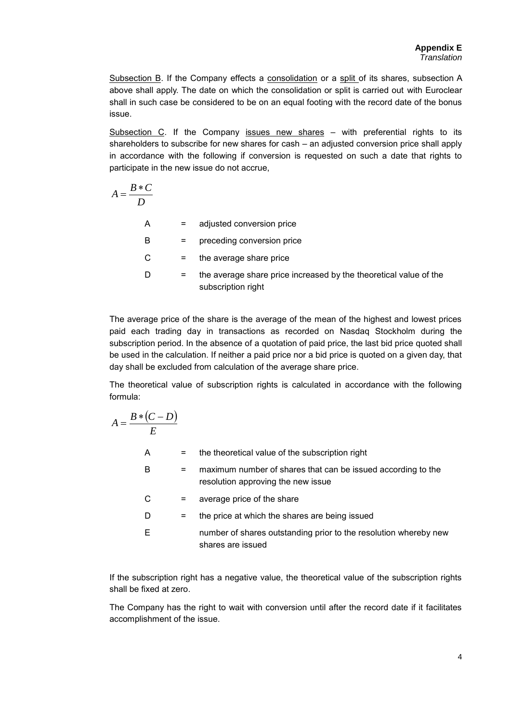Subsection B. If the Company effects a consolidation or a split of its shares, subsection A above shall apply. The date on which the consolidation or split is carried out with Euroclear shall in such case be considered to be on an equal footing with the record date of the bonus issue.

Subsection  $C$ . If the Company issues new shares  $-$  with preferential rights to its shareholders to subscribe for new shares for cash – an adjusted conversion price shall apply in accordance with the following if conversion is requested on such a date that rights to participate in the new issue do not accrue,

$$
A = \frac{B*C}{D}
$$

| A |     | adjusted conversion price                                                               |
|---|-----|-----------------------------------------------------------------------------------------|
| B | $=$ | preceding conversion price                                                              |
| C | Ξ.  | the average share price                                                                 |
| D |     | the average share price increased by the theoretical value of the<br>subscription right |

The average price of the share is the average of the mean of the highest and lowest prices paid each trading day in transactions as recorded on Nasdaq Stockholm during the subscription period. In the absence of a quotation of paid price, the last bid price quoted shall be used in the calculation. If neither a paid price nor a bid price is quoted on a given day, that day shall be excluded from calculation of the average share price.

The theoretical value of subscription rights is calculated in accordance with the following formula:

$$
A = \frac{B * (C - D)}{E}
$$
  
\nA = the theoretical value of the subscription right  
\nB = maximum number of shares that can be issued according to the  
\nresolution approaching the new issue  
\nC = average price of the share  
\nD = the price at which the shares are being issued  
\nnumber of shares outstanding prior to the resolution whereby new  
\nshares are issued

If the subscription right has a negative value, the theoretical value of the subscription rights shall be fixed at zero.

The Company has the right to wait with conversion until after the record date if it facilitates accomplishment of the issue.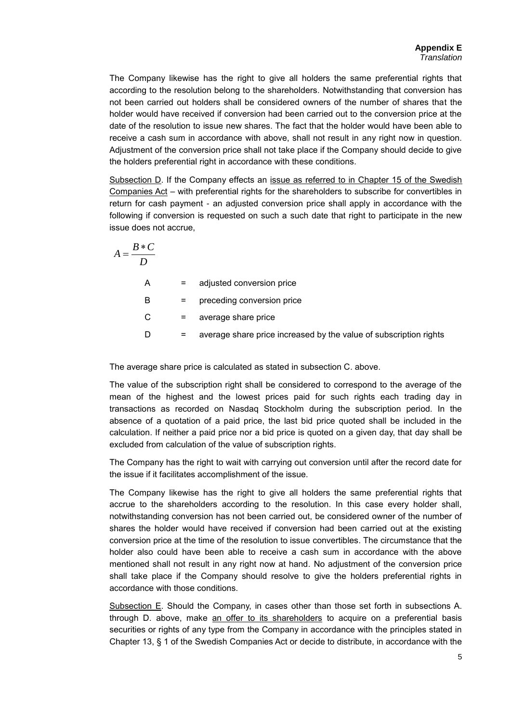The Company likewise has the right to give all holders the same preferential rights that according to the resolution belong to the shareholders*.* Notwithstanding that conversion has not been carried out holders shall be considered owners of the number of shares that the holder would have received if conversion had been carried out to the conversion price at the date of the resolution to issue new shares. The fact that the holder would have been able to receive a cash sum in accordance with above, shall not result in any right now in question. Adjustment of the conversion price shall not take place if the Company should decide to give the holders preferential right in accordance with these conditions.

Subsection D. If the Company effects an issue as referred to in Chapter 15 of the Swedish Companies Act – with preferential rights for the shareholders to subscribe for convertibles in return for cash payment - an adjusted conversion price shall apply in accordance with the following if conversion is requested on such a such date that right to participate in the new issue does not accrue,

$$
A = \frac{B*C}{D}
$$

A = adjusted conversion price B = preceding conversion price  $C =$  average share price D = average share price increased by the value of subscription rights

The average share price is calculated as stated in subsection C. above.

The value of the subscription right shall be considered to correspond to the average of the mean of the highest and the lowest prices paid for such rights each trading day in transactions as recorded on Nasdaq Stockholm during the subscription period. In the absence of a quotation of a paid price, the last bid price quoted shall be included in the calculation. If neither a paid price nor a bid price is quoted on a given day, that day shall be excluded from calculation of the value of subscription rights.

The Company has the right to wait with carrying out conversion until after the record date for the issue if it facilitates accomplishment of the issue.

The Company likewise has the right to give all holders the same preferential rights that accrue to the shareholders according to the resolution. In this case every holder shall, notwithstanding conversion has not been carried out, be considered owner of the number of shares the holder would have received if conversion had been carried out at the existing conversion price at the time of the resolution to issue convertibles. The circumstance that the holder also could have been able to receive a cash sum in accordance with the above mentioned shall not result in any right now at hand*.* No adjustment of the conversion price shall take place if the Company should resolve to give the holders preferential rights in accordance with those conditions.

Subsection E. Should the Company, in cases other than those set forth in subsections A. through D. above, make an offer to its shareholders to acquire on a preferential basis securities or rights of any type from the Company in accordance with the principles stated in Chapter 13, § 1 of the Swedish Companies Act or decide to distribute, in accordance with the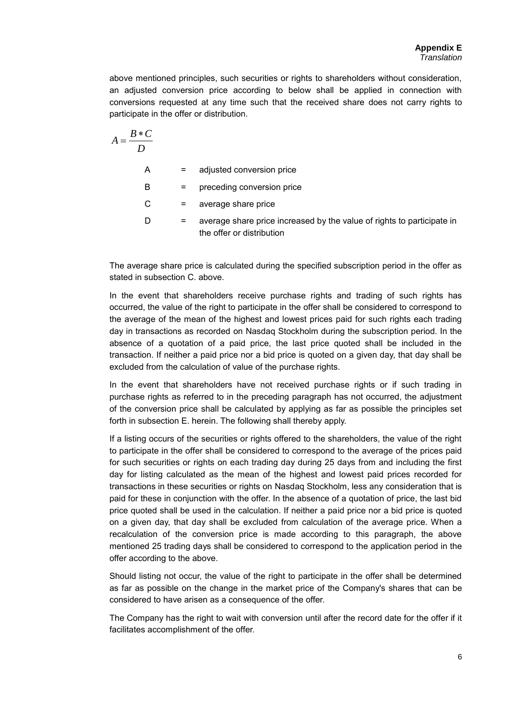above mentioned principles, such securities or rights to shareholders without consideration, an adjusted conversion price according to below shall be applied in connection with conversions requested at any time such that the received share does not carry rights to participate in the offer or distribution.

$$
A = \frac{B*C}{D}
$$
  
A = adjusted conversion price  
B = preceding conversion price  
C = average share price

 $D =$  average share price increased by the value of rights to participate in the offer or distribution

The average share price is calculated during the specified subscription period in the offer as stated in subsection C. above.

In the event that shareholders receive purchase rights and trading of such rights has occurred, the value of the right to participate in the offer shall be considered to correspond to the average of the mean of the highest and lowest prices paid for such rights each trading day in transactions as recorded on Nasdaq Stockholm during the subscription period. In the absence of a quotation of a paid price, the last price quoted shall be included in the transaction. If neither a paid price nor a bid price is quoted on a given day, that day shall be excluded from the calculation of value of the purchase rights.

In the event that shareholders have not received purchase rights or if such trading in purchase rights as referred to in the preceding paragraph has not occurred, the adjustment of the conversion price shall be calculated by applying as far as possible the principles set forth in subsection E. herein. The following shall thereby apply.

If a listing occurs of the securities or rights offered to the shareholders, the value of the right to participate in the offer shall be considered to correspond to the average of the prices paid for such securities or rights on each trading day during 25 days from and including the first day for listing calculated as the mean of the highest and lowest paid prices recorded for transactions in these securities or rights on Nasdaq Stockholm, less any consideration that is paid for these in conjunction with the offer. In the absence of a quotation of price, the last bid price quoted shall be used in the calculation. If neither a paid price nor a bid price is quoted on a given day, that day shall be excluded from calculation of the average price. When a recalculation of the conversion price is made according to this paragraph, the above mentioned 25 trading days shall be considered to correspond to the application period in the offer according to the above.

Should listing not occur, the value of the right to participate in the offer shall be determined as far as possible on the change in the market price of the Company's shares that can be considered to have arisen as a consequence of the offer.

The Company has the right to wait with conversion until after the record date for the offer if it facilitates accomplishment of the offer.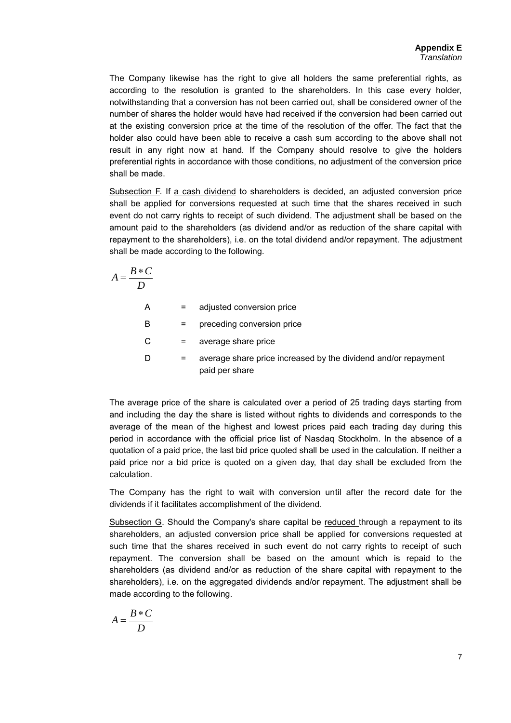The Company likewise has the right to give all holders the same preferential rights, as according to the resolution is granted to the shareholders. In this case every holder, notwithstanding that a conversion has not been carried out, shall be considered owner of the number of shares the holder would have had received if the conversion had been carried out at the existing conversion price at the time of the resolution of the offer. The fact that the holder also could have been able to receive a cash sum according to the above shall not result in any right now at hand*.* If the Company should resolve to give the holders preferential rights in accordance with those conditions, no adjustment of the conversion price shall be made.

Subsection F. If a cash dividend to shareholders is decided, an adjusted conversion price shall be applied for conversions requested at such time that the shares received in such event do not carry rights to receipt of such dividend. The adjustment shall be based on the amount paid to the shareholders (as dividend and/or as reduction of the share capital with repayment to the shareholders), i.e. on the total dividend and/or repayment. The adjustment shall be made according to the following.

$$
A = \frac{B*C}{D}
$$

A = adjusted conversion price

B = preceding conversion price

 $C =$  average share price

 $D =$  average share price increased by the dividend and/or repayment paid per share

The average price of the share is calculated over a period of 25 trading days starting from and including the day the share is listed without rights to dividends and corresponds to the average of the mean of the highest and lowest prices paid each trading day during this period in accordance with the official price list of Nasdaq Stockholm. In the absence of a quotation of a paid price, the last bid price quoted shall be used in the calculation. If neither a paid price nor a bid price is quoted on a given day, that day shall be excluded from the calculation.

The Company has the right to wait with conversion until after the record date for the dividends if it facilitates accomplishment of the dividend.

Subsection G. Should the Company's share capital be reduced through a repayment to its shareholders, an adjusted conversion price shall be applied for conversions requested at such time that the shares received in such event do not carry rights to receipt of such repayment. The conversion shall be based on the amount which is repaid to the shareholders (as dividend and/or as reduction of the share capital with repayment to the shareholders), i.e. on the aggregated dividends and/or repayment. The adjustment shall be made according to the following.

$$
A = \frac{B*C}{D}
$$

7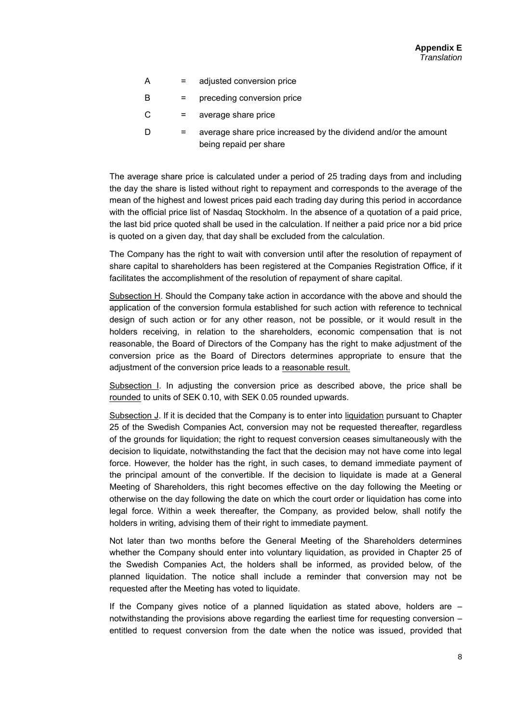- A = adjusted conversion price
- B = preceding conversion price
- $C =$  average share price
- $D =$  average share price increased by the dividend and/or the amount being repaid per share

The average share price is calculated under a period of 25 trading days from and including the day the share is listed without right to repayment and corresponds to the average of the mean of the highest and lowest prices paid each trading day during this period in accordance with the official price list of Nasdaq Stockholm. In the absence of a quotation of a paid price, the last bid price quoted shall be used in the calculation. If neither a paid price nor a bid price is quoted on a given day, that day shall be excluded from the calculation.

The Company has the right to wait with conversion until after the resolution of repayment of share capital to shareholders has been registered at the Companies Registration Office, if it facilitates the accomplishment of the resolution of repayment of share capital.

Subsection H. Should the Company take action in accordance with the above and should the application of the conversion formula established for such action with reference to technical design of such action or for any other reason, not be possible, or it would result in the holders receiving, in relation to the shareholders, economic compensation that is not reasonable, the Board of Directors of the Company has the right to make adjustment of the conversion price as the Board of Directors determines appropriate to ensure that the adjustment of the conversion price leads to a reasonable result.

Subsection I. In adjusting the conversion price as described above, the price shall be rounded to units of SEK 0.10, with SEK 0.05 rounded upwards.

Subsection J. If it is decided that the Company is to enter into liquidation pursuant to Chapter 25 of the Swedish Companies Act, conversion may not be requested thereafter, regardless of the grounds for liquidation; the right to request conversion ceases simultaneously with the decision to liquidate, notwithstanding the fact that the decision may not have come into legal force. However, the holder has the right, in such cases, to demand immediate payment of the principal amount of the convertible. If the decision to liquidate is made at a General Meeting of Shareholders, this right becomes effective on the day following the Meeting or otherwise on the day following the date on which the court order or liquidation has come into legal force. Within a week thereafter, the Company, as provided below, shall notify the holders in writing, advising them of their right to immediate payment.

Not later than two months before the General Meeting of the Shareholders determines whether the Company should enter into voluntary liquidation, as provided in Chapter 25 of the Swedish Companies Act, the holders shall be informed, as provided below, of the planned liquidation. The notice shall include a reminder that conversion may not be requested after the Meeting has voted to liquidate.

If the Company gives notice of a planned liquidation as stated above, holders are – notwithstanding the provisions above regarding the earliest time for requesting conversion – entitled to request conversion from the date when the notice was issued, provided that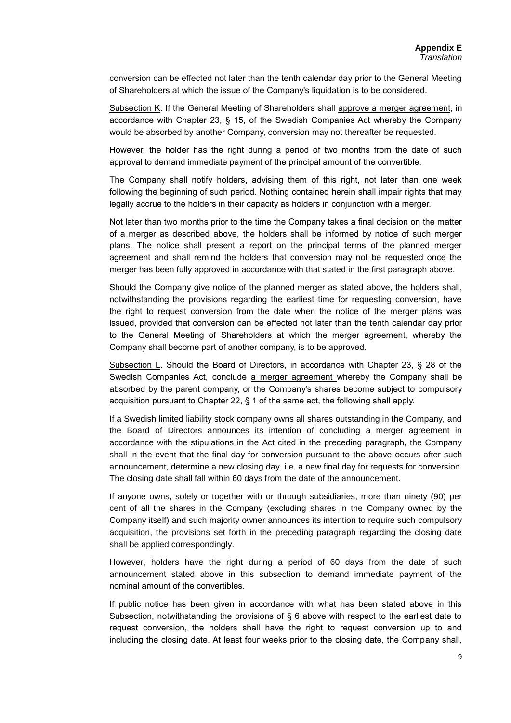conversion can be effected not later than the tenth calendar day prior to the General Meeting of Shareholders at which the issue of the Company's liquidation is to be considered.

Subsection K. If the General Meeting of Shareholders shall approve a merger agreement, in accordance with Chapter 23, § 15, of the Swedish Companies Act whereby the Company would be absorbed by another Company, conversion may not thereafter be requested.

However, the holder has the right during a period of two months from the date of such approval to demand immediate payment of the principal amount of the convertible.

The Company shall notify holders, advising them of this right, not later than one week following the beginning of such period. Nothing contained herein shall impair rights that may legally accrue to the holders in their capacity as holders in conjunction with a merger.

Not later than two months prior to the time the Company takes a final decision on the matter of a merger as described above, the holders shall be informed by notice of such merger plans. The notice shall present a report on the principal terms of the planned merger agreement and shall remind the holders that conversion may not be requested once the merger has been fully approved in accordance with that stated in the first paragraph above.

Should the Company give notice of the planned merger as stated above, the holders shall, notwithstanding the provisions regarding the earliest time for requesting conversion, have the right to request conversion from the date when the notice of the merger plans was issued, provided that conversion can be effected not later than the tenth calendar day prior to the General Meeting of Shareholders at which the merger agreement, whereby the Company shall become part of another company, is to be approved.

Subsection L. Should the Board of Directors, in accordance with Chapter 23, § 28 of the Swedish Companies Act, conclude a merger agreement whereby the Company shall be absorbed by the parent company, or the Company's shares become subject to compulsory acquisition pursuant to Chapter 22, § 1 of the same act, the following shall apply.

If a Swedish limited liability stock company owns all shares outstanding in the Company, and the Board of Directors announces its intention of concluding a merger agreement in accordance with the stipulations in the Act cited in the preceding paragraph, the Company shall in the event that the final day for conversion pursuant to the above occurs after such announcement, determine a new closing day, i.e. a new final day for requests for conversion. The closing date shall fall within 60 days from the date of the announcement.

If anyone owns, solely or together with or through subsidiaries, more than ninety (90) per cent of all the shares in the Company (excluding shares in the Company owned by the Company itself) and such majority owner announces its intention to require such compulsory acquisition, the provisions set forth in the preceding paragraph regarding the closing date shall be applied correspondingly.

However, holders have the right during a period of 60 days from the date of such announcement stated above in this subsection to demand immediate payment of the nominal amount of the convertibles.

If public notice has been given in accordance with what has been stated above in this Subsection, notwithstanding the provisions of § 6 above with respect to the earliest date to request conversion, the holders shall have the right to request conversion up to and including the closing date. At least four weeks prior to the closing date, the Company shall,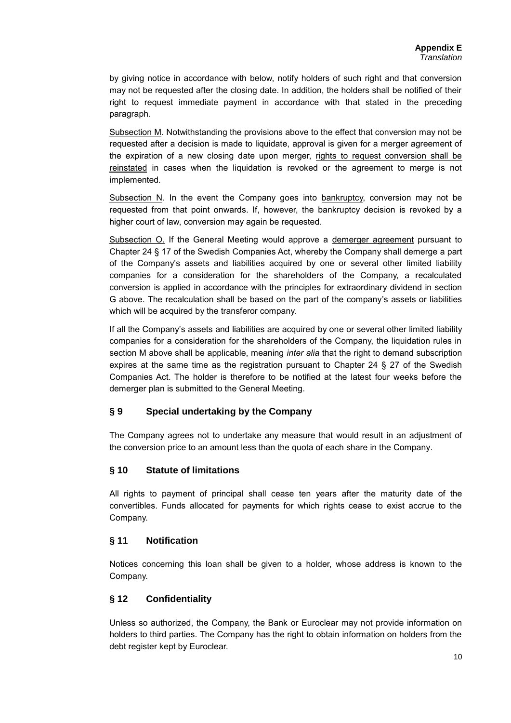by giving notice in accordance with below, notify holders of such right and that conversion may not be requested after the closing date. In addition, the holders shall be notified of their right to request immediate payment in accordance with that stated in the preceding paragraph.

Subsection M. Notwithstanding the provisions above to the effect that conversion may not be requested after a decision is made to liquidate, approval is given for a merger agreement of the expiration of a new closing date upon merger, rights to request conversion shall be reinstated in cases when the liquidation is revoked or the agreement to merge is not implemented*.*

Subsection N. In the event the Company goes into  $b$ ankruptcy, conversion may not be requested from that point onwards. If, however, the bankruptcy decision is revoked by a higher court of law, conversion may again be requested*.*

Subsection O. If the General Meeting would approve a demerger agreement pursuant to Chapter 24 § 17 of the Swedish Companies Act, whereby the Company shall demerge a part of the Company's assets and liabilities acquired by one or several other limited liability companies for a consideration for the shareholders of the Company, a recalculated conversion is applied in accordance with the principles for extraordinary dividend in section G above. The recalculation shall be based on the part of the company's assets or liabilities which will be acquired by the transferor company.

If all the Company's assets and liabilities are acquired by one or several other limited liability companies for a consideration for the shareholders of the Company, the liquidation rules in section M above shall be applicable, meaning *inter alia* that the right to demand subscription expires at the same time as the registration pursuant to Chapter 24 § 27 of the Swedish Companies Act. The holder is therefore to be notified at the latest four weeks before the demerger plan is submitted to the General Meeting.

# **§ 9 Special undertaking by the Company**

The Company agrees not to undertake any measure that would result in an adjustment of the conversion price to an amount less than the quota of each share in the Company*.*

## **§ 10 Statute of limitations**

All rights to payment of principal shall cease ten years after the maturity date of the convertibles. Funds allocated for payments for which rights cease to exist accrue to the Company.

## **§ 11 Notification**

Notices concerning this loan shall be given to a holder, whose address is known to the Company.

## **§ 12 Confidentiality**

Unless so authorized, the Company, the Bank or Euroclear may not provide information on holders to third parties. The Company has the right to obtain information on holders from the debt register kept by Euroclear.